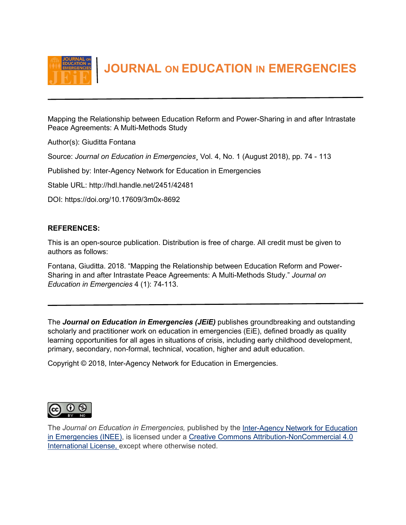

 **JOURNAL ON EDUCATION IN EMERGENCIES**

Mapping the Relationship between Education Reform and Power-Sharing in and after Intrastate Peace Agreements: A Multi-Methods Study

Author(s): Giuditta Fontana

Source: *Journal on Education in Emergencies*¸ Vol. 4, No. 1 (August 2018), pp. 74 - 113

Published by: Inter-Agency Network for Education in Emergencies

Stable URL: http://hdl.handle.net/2451/42481

DOI: https://doi.org/10.17609/3m0x-8692

# **REFERENCES:**

This is an open-source publication. Distribution is free of charge. All credit must be given to authors as follows:

Fontana, Giuditta. 2018. "Mapping the Relationship between Education Reform and Power-Sharing in and after Intrastate Peace Agreements: A Multi-Methods Study." *Journal on Education in Emergencies* 4 (1): 74-113.

The *Journal on Education in Emergencies (JEiE)* publishes groundbreaking and outstanding scholarly and practitioner work on education in emergencies (EiE), defined broadly as quality learning opportunities for all ages in situations of crisis, including early childhood development, primary, secondary, non-formal, technical, vocation, higher and adult education.

Copyright © 2018, Inter-Agency Network for Education in Emergencies.



The *Journal on Education in Emergencies,* published by the Inter-Agency [Network for Education](http://www.ineesite.org/en/journal)  [in Emergencies \(INEE\),](http://www.ineesite.org/en/journal) is licensed under a [Creative Commons Attribution-NonCommercial 4.0](http://creativecommons.org/licenses/by-nc/4.0/)  [International License,](http://creativecommons.org/licenses/by-nc/4.0/) except where otherwise noted.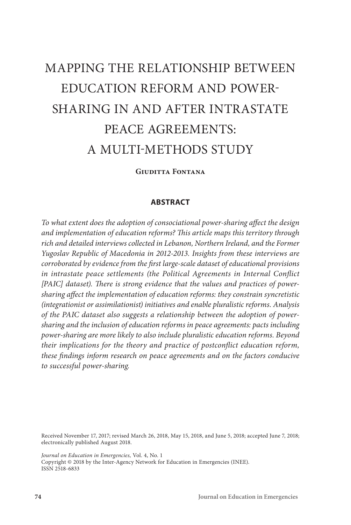# MAPPING THE RELATIONSHIP BETWEEN EDUCATION REFORM AND POWER-SHARING IN AND AFTER INTRASTATE PEACE AGREEMENTS: A MULTI-METHODS STUDY

**Giuditta Fontana**

## **ABSTRACT**

*To what extent does the adoption of consociational power-sharing affect the design and implementation of education reforms? This article maps this territory through rich and detailed interviews collected in Lebanon, Northern Ireland, and the Former Yugoslav Republic of Macedonia in 2012-2013. Insights from these interviews are corroborated by evidence from the first large-scale dataset of educational provisions in intrastate peace settlements (the Political Agreements in Internal Conflict [PAIC] dataset). There is strong evidence that the values and practices of powersharing affect the implementation of education reforms: they constrain syncretistic (integrationist or assimilationist) initiatives and enable pluralistic reforms. Analysis of the PAIC dataset also suggests a relationship between the adoption of powersharing and the inclusion of education reforms in peace agreements: pacts including power-sharing are more likely to also include pluralistic education reforms. Beyond their implications for the theory and practice of postconflict education reform, these findings inform research on peace agreements and on the factors conducive to successful power-sharing.*

Received November 17, 2017; revised March 26, 2018, May 15, 2018, and June 5, 2018; accepted June 7, 2018; electronically published August 2018.

*Journal on Education in Emergencies,* Vol. 4, No. 1 Copyright © 2018 by the Inter-Agency Network for Education in Emergencies (INEE). ISSN 2518-6833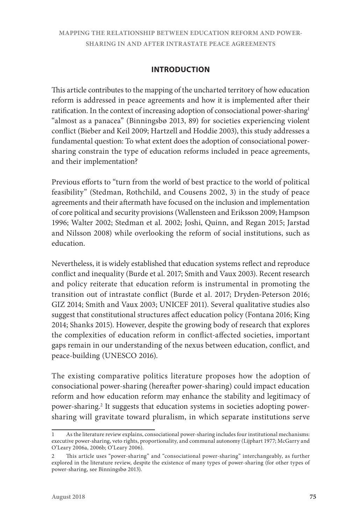# **INTRODUCTION**

This article contributes to the mapping of the uncharted territory of how education reform is addressed in peace agreements and how it is implemented after their ratification. In the context of increasing adoption of consociational power-sharing1 "almost as a panacea" (Binningsbø 2013, 89) for societies experiencing violent conflict (Bieber and Keil 2009; Hartzell and Hoddie 2003), this study addresses a fundamental question: To what extent does the adoption of consociational powersharing constrain the type of education reforms included in peace agreements, and their implementation?

Previous efforts to "turn from the world of best practice to the world of political feasibility" (Stedman, Rothchild, and Cousens 2002, 3) in the study of peace agreements and their aftermath have focused on the inclusion and implementation of core political and security provisions (Wallensteen and Eriksson 2009; Hampson 1996; Walter 2002; Stedman et al. 2002; Joshi, Quinn, and Regan 2015; Jarstad and Nilsson 2008) while overlooking the reform of social institutions, such as education.

Nevertheless, it is widely established that education systems reflect and reproduce conflict and inequality (Burde et al. 2017; Smith and Vaux 2003). Recent research and policy reiterate that education reform is instrumental in promoting the transition out of intrastate conflict (Burde et al. 2017; Dryden-Peterson 2016; GIZ 2014; Smith and Vaux 2003; UNICEF 2011). Several qualitative studies also suggest that constitutional structures affect education policy (Fontana 2016; King 2014; Shanks 2015). However, despite the growing body of research that explores the complexities of education reform in conflict-affected societies, important gaps remain in our understanding of the nexus between education, conflict, and peace-building (UNESCO 2016).

The existing comparative politics literature proposes how the adoption of consociational power-sharing (hereafter power-sharing) could impact education reform and how education reform may enhance the stability and legitimacy of power-sharing.<sup>2</sup> It suggests that education systems in societies adopting powersharing will gravitate toward pluralism, in which separate institutions serve

As the literature review explains, consociational power-sharing includes four institutional mechanisms: executive power-sharing, veto rights, proportionality, and communal autonomy (Lijphart 1977; McGarry and O'Leary 2006a, 2006b; O'Leary 2006).

<sup>2</sup> This article uses "power-sharing" and "consociational power-sharing" interchangeably, as further explored in the literature review, despite the existence of many types of power-sharing (for other types of power-sharing, see Binningsbø 2013).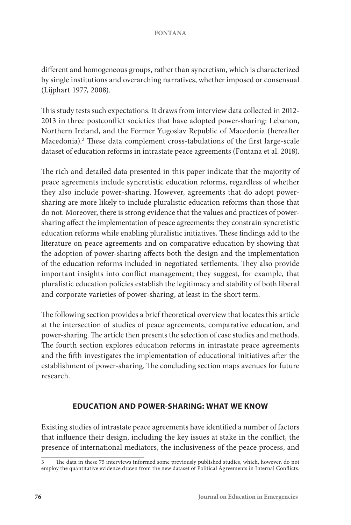different and homogeneous groups, rather than syncretism, which is characterized by single institutions and overarching narratives, whether imposed or consensual (Lijphart 1977, 2008).

This study tests such expectations. It draws from interview data collected in 2012- 2013 in three postconflict societies that have adopted power-sharing: Lebanon, Northern Ireland, and the Former Yugoslav Republic of Macedonia (hereafter Macedonia).3 These data complement cross-tabulations of the first large-scale dataset of education reforms in intrastate peace agreements (Fontana et al. 2018).

The rich and detailed data presented in this paper indicate that the majority of peace agreements include syncretistic education reforms, regardless of whether they also include power-sharing. However, agreements that do adopt powersharing are more likely to include pluralistic education reforms than those that do not. Moreover, there is strong evidence that the values and practices of powersharing affect the implementation of peace agreements: they constrain syncretistic education reforms while enabling pluralistic initiatives. These findings add to the literature on peace agreements and on comparative education by showing that the adoption of power-sharing affects both the design and the implementation of the education reforms included in negotiated settlements. They also provide important insights into conflict management; they suggest, for example, that pluralistic education policies establish the legitimacy and stability of both liberal and corporate varieties of power-sharing, at least in the short term.

The following section provides a brief theoretical overview that locates this article at the intersection of studies of peace agreements, comparative education, and power-sharing. The article then presents the selection of case studies and methods. The fourth section explores education reforms in intrastate peace agreements and the fifth investigates the implementation of educational initiatives after the establishment of power-sharing. The concluding section maps avenues for future research.

# **EDUCATION AND POWER-SHARING: WHAT WE KNOW**

Existing studies of intrastate peace agreements have identified a number of factors that influence their design, including the key issues at stake in the conflict, the presence of international mediators, the inclusiveness of the peace process, and

The data in these 75 interviews informed some previously published studies, which, however, do not employ the quantitative evidence drawn from the new dataset of Political Agreements in Internal Conflicts.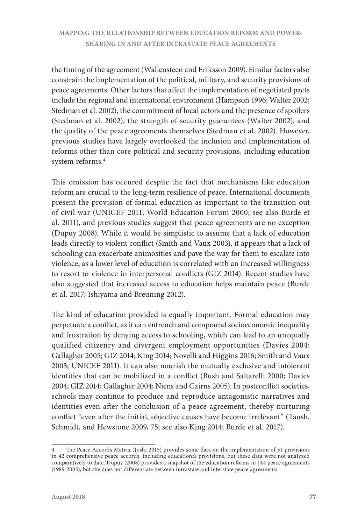the timing of the agreement (Wallensteen and Eriksson 2009). Similar factors also constrain the implementation of the political, military, and security provisions of peace agreements. Other factors that affect the implementation of negotiated pacts include the regional and international environment (Hampson 1996; Walter 2002; Stedman et al. 2002), the commitment of local actors and the presence of spoilers (Stedman et al. 2002), the strength of security guarantees (Walter 2002), and the quality of the peace agreements themselves (Stedman et al. 2002). However, previous studies have largely overlooked the inclusion and implementation of reforms other than core political and security provisions, including education system reforms.4

This omission has occured despite the fact that mechanisms like education reform are crucial to the long-term resilience of peace. International documents present the provision of formal education as important to the transition out of civil war (UNICEF 2011; World Education Forum 2000; see also Burde et al. 2011), and previous studies suggest that peace agreements are no exception (Dupuy 2008). While it would be simplistic to assume that a lack of education leads directly to violent conflict (Smith and Vaux 2003), it appears that a lack of schooling can exacerbate animosities and pave the way for them to escalate into violence, as a lower level of education is correlated with an increased willingness to resort to violence in interpersonal conflicts (GIZ 2014). Recent studies have also suggested that increased access to education helps maintain peace (Burde et al. 2017; Ishiyama and Breuning 2012).

The kind of education provided is equally important. Formal education may perpetuate a conflict, as it can entrench and compound socioeconomic inequality and frustration by denying access to schooling, which can lead to an unequally qualified citizenry and divergent employment opportunities (Davies 2004; Gallagher 2005; GIZ 2014; King 2014; Novelli and Higgins 2016; Smith and Vaux 2003; UNICEF 2011). It can also nourish the mutually exclusive and intolerant identities that can be mobilized in a conflict (Bush and Saltarelli 2000; Davies 2004; GIZ 2014; Gallagher 2004; Niens and Cairns 2005). In postconflict societies, schools may continue to produce and reproduce antagonistic narratives and identities even after the conclusion of a peace agreement, thereby nurturing conflict "even after the initial, objective causes have become irrelevant" (Taush, Schmidt, and Hewstone 2009, 75; see also King 2014; Burde et al. 2017).

<sup>4</sup> The Peace Accords Matrix (Joshi 2015) provides some data on the implementation of 51 provisions in 42 comprehensive peace accords, including educational provisions, but these data were not analyzed comparatively to date. Dupuy (2008) provides a snapshot of the education reforms in 144 peace agreements (1989-2005), but she does not differentiate between intrastate and interstate peace agreements.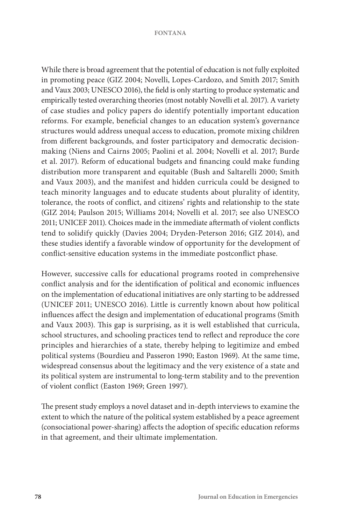While there is broad agreement that the potential of education is not fully exploited in promoting peace (GIZ 2004; Novelli, Lopes-Cardozo, and Smith 2017; Smith and Vaux 2003; UNESCO 2016), the field is only starting to produce systematic and empirically tested overarching theories (most notably Novelli et al. 2017). A variety of case studies and policy papers do identify potentially important education reforms. For example, beneficial changes to an education system's governance structures would address unequal access to education, promote mixing children from different backgrounds, and foster participatory and democratic decisionmaking (Niens and Cairns 2005; Paolini et al. 2004; Novelli et al. 2017; Burde et al. 2017). Reform of educational budgets and financing could make funding distribution more transparent and equitable (Bush and Saltarelli 2000; Smith and Vaux 2003), and the manifest and hidden curricula could be designed to teach minority languages and to educate students about plurality of identity, tolerance, the roots of conflict, and citizens' rights and relationship to the state (GIZ 2014; Paulson 2015; Williams 2014; Novelli et al. 2017; see also UNESCO 2011; UNICEF 2011). Choices made in the immediate aftermath of violent conflicts tend to solidify quickly (Davies 2004; Dryden-Peterson 2016; GIZ 2014), and these studies identify a favorable window of opportunity for the development of conflict-sensitive education systems in the immediate postconflict phase.

However, successive calls for educational programs rooted in comprehensive conflict analysis and for the identification of political and economic influences on the implementation of educational initiatives are only starting to be addressed (UNICEF 2011; UNESCO 2016). Little is currently known about how political influences affect the design and implementation of educational programs (Smith and Vaux 2003). This gap is surprising, as it is well established that curricula, school structures, and schooling practices tend to reflect and reproduce the core principles and hierarchies of a state, thereby helping to legitimize and embed political systems (Bourdieu and Passeron 1990; Easton 1969). At the same time, widespread consensus about the legitimacy and the very existence of a state and its political system are instrumental to long-term stability and to the prevention of violent conflict (Easton 1969; Green 1997).

The present study employs a novel dataset and in-depth interviews to examine the extent to which the nature of the political system established by a peace agreement (consociational power-sharing) affects the adoption of specific education reforms in that agreement, and their ultimate implementation.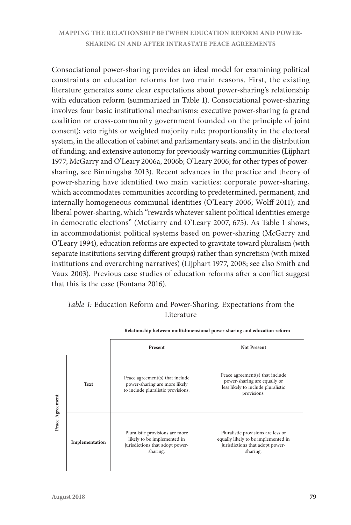Consociational power-sharing provides an ideal model for examining political constraints on education reforms for two main reasons. First, the existing literature generates some clear expectations about power-sharing's relationship with education reform (summarized in Table 1). Consociational power-sharing involves four basic institutional mechanisms: executive power-sharing (a grand coalition or cross-community government founded on the principle of joint consent); veto rights or weighted majority rule; proportionality in the electoral system, in the allocation of cabinet and parliamentary seats, and in the distribution of funding; and extensive autonomy for previously warring communities (Lijphart 1977; McGarry and O'Leary 2006a, 2006b; O'Leary 2006; for other types of powersharing, see Binningsbø 2013). Recent advances in the practice and theory of power-sharing have identified two main varieties: corporate power-sharing, which accommodates communities according to predetermined, permanent, and internally homogeneous communal identities (O'Leary 2006; Wolff 2011); and liberal power-sharing, which "rewards whatever salient political identities emerge in democratic elections" (McGarry and O'Leary 2007, 675). As Table 1 shows, in accommodationist political systems based on power-sharing (McGarry and O'Leary 1994), education reforms are expected to gravitate toward pluralism (with separate institutions serving different groups) rather than syncretism (with mixed institutions and overarching narratives) (Lijphart 1977, 2008; see also Smith and Vaux 2003). Previous case studies of education reforms after a conflict suggest that this is the case (Fontana 2016).

# *Table 1:* Education Reform and Power-Sharing. Expectations from the Literature

|                 |                | Present                                                                                                       | <b>Not Present</b>                                                                                                       |
|-----------------|----------------|---------------------------------------------------------------------------------------------------------------|--------------------------------------------------------------------------------------------------------------------------|
| Peace Agreement | Text           | Peace agreement(s) that include<br>power-sharing are more likely<br>to include pluralistic provisions.        | Peace agreement(s) that include<br>power-sharing are equally or<br>less likely to include pluralistic<br>provisions.     |
|                 | Implementation | Pluralistic provisions are more<br>likely to be implemented in<br>jurisdictions that adopt power-<br>sharing. | Pluralistic provisions are less or<br>equally likely to be implemented in<br>jurisdictions that adopt power-<br>sharing. |

**Relationship between multidimensional power-sharing and education reform**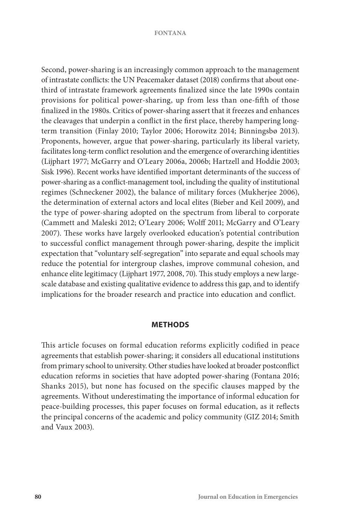Second, power-sharing is an increasingly common approach to the management of intrastate conflicts: the UN Peacemaker dataset (2018) confirms that about onethird of intrastate framework agreements finalized since the late 1990s contain provisions for political power-sharing, up from less than one-fifth of those finalized in the 1980s. Critics of power-sharing assert that it freezes and enhances the cleavages that underpin a conflict in the first place, thereby hampering longterm transition (Finlay 2010; Taylor 2006; Horowitz 2014; Binningsbø 2013). Proponents, however, argue that power-sharing, particularly its liberal variety, facilitates long-term conflict resolution and the emergence of overarching identities (Lijphart 1977; McGarry and O'Leary 2006a, 2006b; Hartzell and Hoddie 2003; Sisk 1996). Recent works have identified important determinants of the success of power-sharing as a conflict-management tool, including the quality of institutional regimes (Schneckener 2002), the balance of military forces (Mukherjee 2006), the determination of external actors and local elites (Bieber and Keil 2009), and the type of power-sharing adopted on the spectrum from liberal to corporate (Cammett and Maleski 2012; O'Leary 2006; Wolff 2011; McGarry and O'Leary 2007). These works have largely overlooked education's potential contribution to successful conflict management through power-sharing, despite the implicit expectation that "voluntary self-segregation" into separate and equal schools may reduce the potential for intergroup clashes, improve communal cohesion, and enhance elite legitimacy (Lijphart 1977, 2008, 70). This study employs a new largescale database and existing qualitative evidence to address this gap, and to identify implications for the broader research and practice into education and conflict.

## **METHODS**

This article focuses on formal education reforms explicitly codified in peace agreements that establish power-sharing; it considers all educational institutions from primary school to university. Other studies have looked at broader postconflict education reforms in societies that have adopted power-sharing (Fontana 2016; Shanks 2015), but none has focused on the specific clauses mapped by the agreements. Without underestimating the importance of informal education for peace-building processes, this paper focuses on formal education, as it reflects the principal concerns of the academic and policy community (GIZ 2014; Smith and Vaux 2003).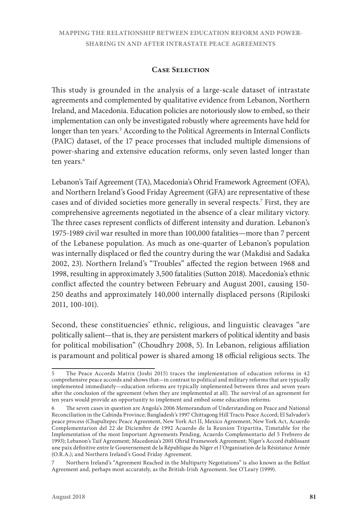## **Case Selection**

This study is grounded in the analysis of a large-scale dataset of intrastate agreements and complemented by qualitative evidence from Lebanon, Northern Ireland, and Macedonia. Education policies are notoriously slow to embed, so their implementation can only be investigated robustly where agreements have held for longer than ten years.<sup>5</sup> According to the Political Agreements in Internal Conflicts (PAIC) dataset, of the 17 peace processes that included multiple dimensions of power-sharing and extensive education reforms, only seven lasted longer than ten years.<sup>6</sup>

Lebanon's Taif Agreement (TA), Macedonia's Ohrid Framework Agreement (OFA), and Northern Ireland's Good Friday Agreement (GFA) are representative of these cases and of divided societies more generally in several respects.7 First, they are comprehensive agreements negotiated in the absence of a clear military victory. The three cases represent conflicts of different intensity and duration. Lebanon's 1975-1989 civil war resulted in more than 100,000 fatalities—more than 7 percent of the Lebanese population. As much as one-quarter of Lebanon's population was internally displaced or fled the country during the war (Makdisi and Sadaka 2002, 23). Northern Ireland's "Troubles" affected the region between 1968 and 1998, resulting in approximately 3,500 fatalities (Sutton 2018). Macedonia's ethnic conflict affected the country between February and August 2001, causing 150- 250 deaths and approximately 140,000 internally displaced persons (Ripiloski 2011, 100-101).

Second, these constituencies' ethnic, religious, and linguistic cleavages "are politically salient—that is, they are persistent markers of political identity and basis for political mobilisation" (Choudhry 2008, 5). In Lebanon, religious affiliation is paramount and political power is shared among 18 official religious sects. The

<sup>5</sup> The Peace Accords Matrix (Joshi 2015) traces the implementation of education reforms in 42 comprehensive peace accords and shows that—in contrast to political and military reforms that are typically implemented immediately—education reforms are typically implemented between three and seven years after the conclusion of the agreement (when they are implemented at all). The survival of an agreement for ten years would provide an opportunity to implement and embed some education reforms.

The seven cases in question are Angola's 2006 Memorandum of Understanding on Peace and National Reconciliation in the Cabinda Province; Bangladesh's 1997 Chittagong Hill Tracts Peace Accord; El Salvador's peace process (Chapultepec Peace Agreement, New York Act II, Mexico Agreement, New York Act, Acuerdo Complementarion del 22 de Diciembre de 1992 Acuerdo de la Reunion Tripartita, Timetable for the Implementation of the most Important Agreements Pending, Acuerdo Complementario del 5 Frebrero de 1993); Lebanon's Taif Agreement; Macedonia's 2001 Ohrid Framework Agreement; Niger's Accord établissant une paix définitive entre le Gouvernement de la République du Niger et l'Organisation de la Résistance Armée (O.R.A.); and Northern Ireland's Good Friday Agreement.

<sup>7</sup> Northern Ireland's "Agreement Reached in the Multiparty Negotiations" is also known as the Belfast Agreement and, perhaps most accurately, as the British-Irish Agreement. See O'Leary (1999).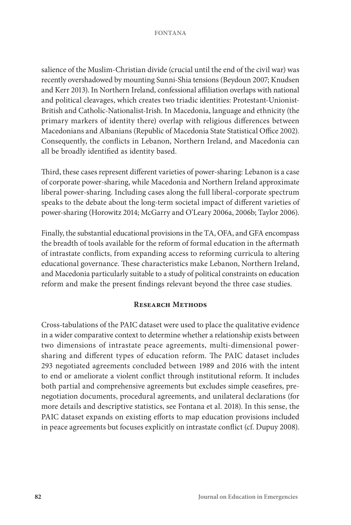salience of the Muslim-Christian divide (crucial until the end of the civil war) was recently overshadowed by mounting Sunni-Shia tensions (Beydoun 2007; Knudsen and Kerr 2013). In Northern Ireland, confessional affiliation overlaps with national and political cleavages, which creates two triadic identities: Protestant-Unionist-British and Catholic-Nationalist-Irish. In Macedonia, language and ethnicity (the primary markers of identity there) overlap with religious differences between Macedonians and Albanians (Republic of Macedonia State Statistical Office 2002). Consequently, the conflicts in Lebanon, Northern Ireland, and Macedonia can all be broadly identified as identity based.

Third, these cases represent different varieties of power-sharing: Lebanon is a case of corporate power-sharing, while Macedonia and Northern Ireland approximate liberal power-sharing. Including cases along the full liberal-corporate spectrum speaks to the debate about the long-term societal impact of different varieties of power-sharing (Horowitz 2014; McGarry and O'Leary 2006a, 2006b; Taylor 2006).

Finally, the substantial educational provisions in the TA, OFA, and GFA encompass the breadth of tools available for the reform of formal education in the aftermath of intrastate conflicts, from expanding access to reforming curricula to altering educational governance. These characteristics make Lebanon, Northern Ireland, and Macedonia particularly suitable to a study of political constraints on education reform and make the present findings relevant beyond the three case studies.

## **Research Methods**

Cross-tabulations of the PAIC dataset were used to place the qualitative evidence in a wider comparative context to determine whether a relationship exists between two dimensions of intrastate peace agreements, multi-dimensional powersharing and different types of education reform. The PAIC dataset includes 293 negotiated agreements concluded between 1989 and 2016 with the intent to end or ameliorate a violent conflict through institutional reform. It includes both partial and comprehensive agreements but excludes simple ceasefires, prenegotiation documents, procedural agreements, and unilateral declarations (for more details and descriptive statistics, see Fontana et al. 2018). In this sense, the PAIC dataset expands on existing efforts to map education provisions included in peace agreements but focuses explicitly on intrastate conflict (cf. Dupuy 2008).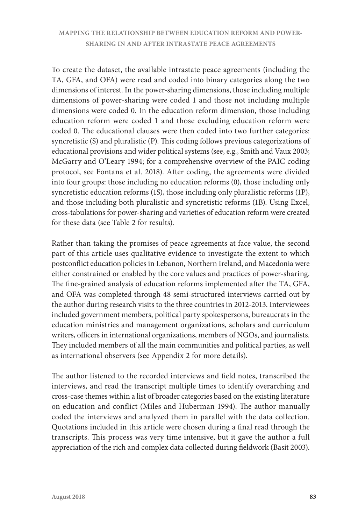To create the dataset, the available intrastate peace agreements (including the TA, GFA, and OFA) were read and coded into binary categories along the two dimensions of interest. In the power-sharing dimensions, those including multiple dimensions of power-sharing were coded 1 and those not including multiple dimensions were coded 0. In the education reform dimension, those including education reform were coded 1 and those excluding education reform were coded 0. The educational clauses were then coded into two further categories: syncretistic (S) and pluralistic (P). This coding follows previous categorizations of educational provisions and wider political systems (see, e.g., Smith and Vaux 2003; McGarry and O'Leary 1994; for a comprehensive overview of the PAIC coding protocol, see Fontana et al. 2018). After coding, the agreements were divided into four groups: those including no education reforms (0), those including only syncretistic education reforms (1S), those including only pluralistic reforms (1P), and those including both pluralistic and syncretistic reforms (1B). Using Excel, cross-tabulations for power-sharing and varieties of education reform were created for these data (see Table 2 for results).

Rather than taking the promises of peace agreements at face value, the second part of this article uses qualitative evidence to investigate the extent to which postconflict education policies in Lebanon, Northern Ireland, and Macedonia were either constrained or enabled by the core values and practices of power-sharing. The fine-grained analysis of education reforms implemented after the TA, GFA, and OFA was completed through 48 semi-structured interviews carried out by the author during research visits to the three countries in 2012-2013. Interviewees included government members, political party spokespersons, bureaucrats in the education ministries and management organizations, scholars and curriculum writers, officers in international organizations, members of NGOs, and journalists. They included members of all the main communities and political parties, as well as international observers (see Appendix 2 for more details).

The author listened to the recorded interviews and field notes, transcribed the interviews, and read the transcript multiple times to identify overarching and cross-case themes within a list of broader categories based on the existing literature on education and conflict (Miles and Huberman 1994). The author manually coded the interviews and analyzed them in parallel with the data collection. Quotations included in this article were chosen during a final read through the transcripts. This process was very time intensive, but it gave the author a full appreciation of the rich and complex data collected during fieldwork (Basit 2003).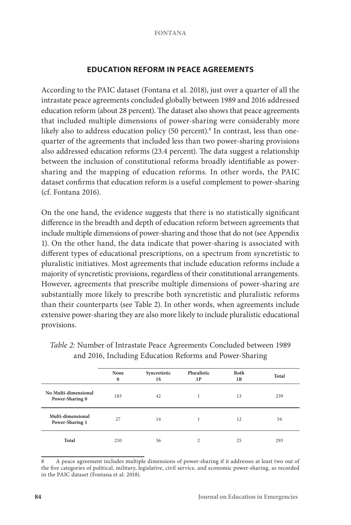# **EDUCATION REFORM IN PEACE AGREEMENTS**

According to the PAIC dataset (Fontana et al. 2018), just over a quarter of all the intrastate peace agreements concluded globally between 1989 and 2016 addressed education reform (about 28 percent). The dataset also shows that peace agreements that included multiple dimensions of power-sharing were considerably more likely also to address education policy (50 percent).<sup>8</sup> In contrast, less than onequarter of the agreements that included less than two power-sharing provisions also addressed education reforms (23.4 percent). The data suggest a relationship between the inclusion of constitutional reforms broadly identifiable as powersharing and the mapping of education reforms. In other words, the PAIC dataset confirms that education reform is a useful complement to power-sharing (cf. Fontana 2016).

On the one hand, the evidence suggests that there is no statistically significant difference in the breadth and depth of education reform between agreements that include multiple dimensions of power-sharing and those that do not (see Appendix 1). On the other hand, the data indicate that power-sharing is associated with different types of educational prescriptions, on a spectrum from syncretistic to pluralistic initiatives. Most agreements that include education reforms include a majority of syncretistic provisions, regardless of their constitutional arrangements. However, agreements that prescribe multiple dimensions of power-sharing are substantially more likely to prescribe both syncretistic and pluralistic reforms than their counterparts (see Table 2). In other words, when agreements include extensive power-sharing they are also more likely to include pluralistic educational provisions.

|                                         | None<br>$\bf{0}$ | Syncretistic<br>1S | Pluralistic<br>1P | Both<br>1B | Total |
|-----------------------------------------|------------------|--------------------|-------------------|------------|-------|
| No Multi-dimensional<br>Power-Sharing 0 | 183              | 42                 |                   | 13         | 239   |
| Multi-dimensional<br>Power-Sharing 1    | 27               | 14                 |                   | 12         | 54    |
| Total                                   | 210              | 56                 | 2                 | 25         | 293   |

*Table 2:* Number of Intrastate Peace Agreements Concluded between 1989 and 2016, Including Education Reforms and Power-Sharing

8 A peace agreement includes multiple dimensions of power-sharing if it addresses at least two out of the five categories of political, military, legislative, civil service, and economic power-sharing, as recorded in the PAIC dataset (Fontana et al. 2018).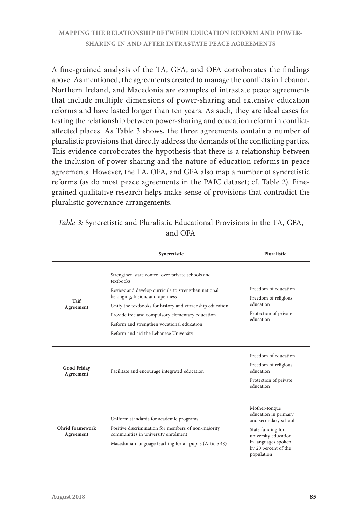A fine-grained analysis of the TA, GFA, and OFA corroborates the findings above. As mentioned, the agreements created to manage the conflicts in Lebanon, Northern Ireland, and Macedonia are examples of intrastate peace agreements that include multiple dimensions of power-sharing and extensive education reforms and have lasted longer than ten years. As such, they are ideal cases for testing the relationship between power-sharing and education reform in conflictaffected places. As Table 3 shows, the three agreements contain a number of pluralistic provisions that directly address the demands of the conflicting parties. This evidence corroborates the hypothesis that there is a relationship between the inclusion of power-sharing and the nature of education reforms in peace agreements. However, the TA, OFA, and GFA also map a number of syncretistic reforms (as do most peace agreements in the PAIC dataset; cf. Table 2). Finegrained qualitative research helps make sense of provisions that contradict the pluralistic governance arrangements.

|                                     | Syncretistic                                                                               | Pluralistic                                                                                     |  |
|-------------------------------------|--------------------------------------------------------------------------------------------|-------------------------------------------------------------------------------------------------|--|
|                                     | Strengthen state control over private schools and<br>textbooks                             |                                                                                                 |  |
| Taif                                | Review and develop curricula to strengthen national<br>belonging, fusion, and openness     | Freedom of education<br>Freedom of religious                                                    |  |
| Agreement                           | Unify the textbooks for history and citizenship education                                  | education                                                                                       |  |
|                                     | Provide free and compulsory elementary education                                           | Protection of private<br>education                                                              |  |
|                                     | Reform and strengthen vocational education                                                 |                                                                                                 |  |
|                                     | Reform and aid the Lebanese University                                                     |                                                                                                 |  |
| Good Friday<br>Agreement            | Facilitate and encourage integrated education                                              | Freedom of education<br>Freedom of religious<br>education<br>Protection of private<br>education |  |
|                                     | Uniform standards for academic programs                                                    | Mother-tongue<br>education in primary<br>and secondary school                                   |  |
| <b>Ohrid Framework</b><br>Agreement | Positive discrimination for members of non-majority<br>communities in university enrolment | State funding for<br>university education                                                       |  |
|                                     | Macedonian language teaching for all pupils (Article 48)                                   | in languages spoken<br>by 20 percent of the<br>population                                       |  |

| Table 3: Syncretistic and Pluralistic Educational Provisions in the TA, GFA, |
|------------------------------------------------------------------------------|
| and OFA                                                                      |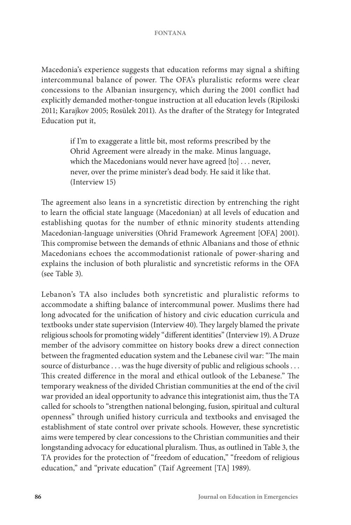Macedonia's experience suggests that education reforms may signal a shifting intercommunal balance of power. The OFA's pluralistic reforms were clear concessions to the Albanian insurgency, which during the 2001 conflict had explicitly demanded mother-tongue instruction at all education levels (Ripiloski 2011; Karajkov 2005; Rosūlek 2011). As the drafter of the Strategy for Integrated Education put it,

> if I'm to exaggerate a little bit, most reforms prescribed by the Ohrid Agreement were already in the make. Minus language, which the Macedonians would never have agreed [to] . . . never, never, over the prime minister's dead body. He said it like that. (Interview 15)

The agreement also leans in a syncretistic direction by entrenching the right to learn the official state language (Macedonian) at all levels of education and establishing quotas for the number of ethnic minority students attending Macedonian-language universities (Ohrid Framework Agreement [OFA] 2001). This compromise between the demands of ethnic Albanians and those of ethnic Macedonians echoes the accommodationist rationale of power-sharing and explains the inclusion of both pluralistic and syncretistic reforms in the OFA (see Table 3).

Lebanon's TA also includes both syncretistic and pluralistic reforms to accommodate a shifting balance of intercommunal power. Muslims there had long advocated for the unification of history and civic education curricula and textbooks under state supervision (Interview 40). They largely blamed the private religious schools for promoting widely "different identities" (Interview 19). A Druze member of the advisory committee on history books drew a direct connection between the fragmented education system and the Lebanese civil war: "The main source of disturbance . . . was the huge diversity of public and religious schools . . . This created difference in the moral and ethical outlook of the Lebanese." The temporary weakness of the divided Christian communities at the end of the civil war provided an ideal opportunity to advance this integrationist aim, thus the TA called for schools to "strengthen national belonging, fusion, spiritual and cultural openness" through unified history curricula and textbooks and envisaged the establishment of state control over private schools. However, these syncretistic aims were tempered by clear concessions to the Christian communities and their longstanding advocacy for educational pluralism. Thus, as outlined in Table 3, the TA provides for the protection of "freedom of education," "freedom of religious education," and "private education" (Taif Agreement [TA] 1989).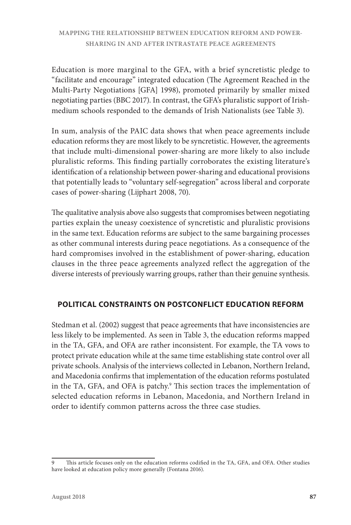Education is more marginal to the GFA, with a brief syncretistic pledge to "facilitate and encourage" integrated education (The Agreement Reached in the Multi-Party Negotiations [GFA] 1998), promoted primarily by smaller mixed negotiating parties (BBC 2017). In contrast, the GFA's pluralistic support of Irishmedium schools responded to the demands of Irish Nationalists (see Table 3).

In sum, analysis of the PAIC data shows that when peace agreements include education reforms they are most likely to be syncretistic. However, the agreements that include multi-dimensional power-sharing are more likely to also include pluralistic reforms. This finding partially corroborates the existing literature's identification of a relationship between power-sharing and educational provisions that potentially leads to "voluntary self-segregation" across liberal and corporate cases of power-sharing (Lijphart 2008, 70).

The qualitative analysis above also suggests that compromises between negotiating parties explain the uneasy coexistence of syncretistic and pluralistic provisions in the same text. Education reforms are subject to the same bargaining processes as other communal interests during peace negotiations. As a consequence of the hard compromises involved in the establishment of power-sharing, education clauses in the three peace agreements analyzed reflect the aggregation of the diverse interests of previously warring groups, rather than their genuine synthesis.

# **POLITICAL CONSTRAINTS ON POSTCONFLICT EDUCATION REFORM**

Stedman et al. (2002) suggest that peace agreements that have inconsistencies are less likely to be implemented. As seen in Table 3, the education reforms mapped in the TA, GFA, and OFA are rather inconsistent. For example, the TA vows to protect private education while at the same time establishing state control over all private schools. Analysis of the interviews collected in Lebanon, Northern Ireland, and Macedonia confirms that implementation of the education reforms postulated in the TA, GFA, and OFA is patchy.<sup>9</sup> This section traces the implementation of selected education reforms in Lebanon, Macedonia, and Northern Ireland in order to identify common patterns across the three case studies.

<sup>9</sup> This article focuses only on the education reforms codified in the TA, GFA, and OFA. Other studies have looked at education policy more generally (Fontana 2016).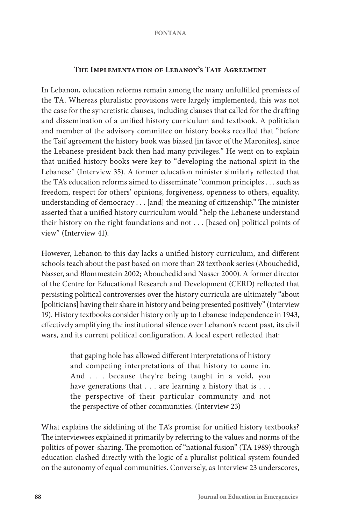## **The Implementation of Lebanon's Taif Agreement**

In Lebanon, education reforms remain among the many unfulfilled promises of the TA. Whereas pluralistic provisions were largely implemented, this was not the case for the syncretistic clauses, including clauses that called for the drafting and dissemination of a unified history curriculum and textbook. A politician and member of the advisory committee on history books recalled that "before the Taif agreement the history book was biased [in favor of the Maronites], since the Lebanese president back then had many privileges." He went on to explain that unified history books were key to "developing the national spirit in the Lebanese" (Interview 35). A former education minister similarly reflected that the TA's education reforms aimed to disseminate "common principles . . . such as freedom, respect for others' opinions, forgiveness, openness to others, equality, understanding of democracy . . . [and] the meaning of citizenship." The minister asserted that a unified history curriculum would "help the Lebanese understand their history on the right foundations and not . . . [based on] political points of view" (Interview 41).

However, Lebanon to this day lacks a unified history curriculum, and different schools teach about the past based on more than 28 textbook series (Abouchedid, Nasser, and Blommestein 2002; Abouchedid and Nasser 2000). A former director of the Centre for Educational Research and Development (CERD) reflected that persisting political controversies over the history curricula are ultimately "about [politicians] having their share in history and being presented positively" (Interview 19). History textbooks consider history only up to Lebanese independence in 1943, effectively amplifying the institutional silence over Lebanon's recent past, its civil wars, and its current political configuration. A local expert reflected that:

> that gaping hole has allowed different interpretations of history and competing interpretations of that history to come in. And . . . because they're being taught in a void, you have generations that . . . are learning a history that is . . . the perspective of their particular community and not the perspective of other communities. (Interview 23)

What explains the sidelining of the TA's promise for unified history textbooks? The interviewees explained it primarily by referring to the values and norms of the politics of power-sharing. The promotion of "national fusion" (TA 1989) through education clashed directly with the logic of a pluralist political system founded on the autonomy of equal communities. Conversely, as Interview 23 underscores,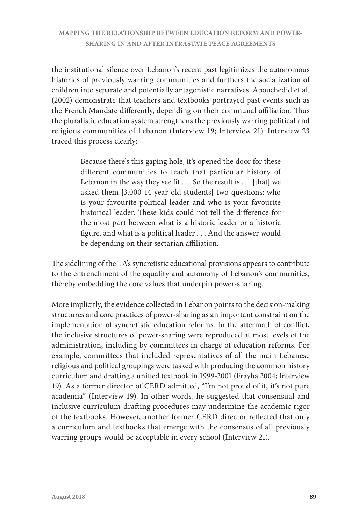the institutional silence over Lebanon's recent past legitimizes the autonomous histories of previously warring communities and furthers the socialization of children into separate and potentially antagonistic narratives. Abouchedid et al. (2002) demonstrate that teachers and textbooks portrayed past events such as the French Mandate differently, depending on their communal affiliation. Thus the pluralistic education system strengthens the previously warring political and religious communities of Lebanon (Interview 19; Interview 21). Interview 23 traced this process clearly:

> Because there's this gaping hole, it's opened the door for these different communities to teach that particular history of Lebanon in the way they see fit . . . So the result is . . . [that] we asked them [3,000 14-year-old students] two questions: who is your favourite political leader and who is your favourite historical leader. These kids could not tell the difference for the most part between what is a historic leader or a historic figure, and what is a political leader . . . And the answer would be depending on their sectarian affiliation.

The sidelining of the TA's syncretistic educational provisions appears to contribute to the entrenchment of the equality and autonomy of Lebanon's communities, thereby embedding the core values that underpin power-sharing.

More implicitly, the evidence collected in Lebanon points to the decision-making structures and core practices of power-sharing as an important constraint on the implementation of syncretistic education reforms. In the aftermath of conflict, the inclusive structures of power-sharing were reproduced at most levels of the administration, including by committees in charge of education reforms. For example, committees that included representatives of all the main Lebanese religious and political groupings were tasked with producing the common history curriculum and drafting a unified textbook in 1999-2001 (Frayha 2004; Interview 19). As a former director of CERD admitted, "I'm not proud of it, it's not pure academia" (Interview 19). In other words, he suggested that consensual and inclusive curriculum-drafting procedures may undermine the academic rigor of the textbooks. However, another former CERD director reflected that only a curriculum and textbooks that emerge with the consensus of all previously warring groups would be acceptable in every school (Interview 21).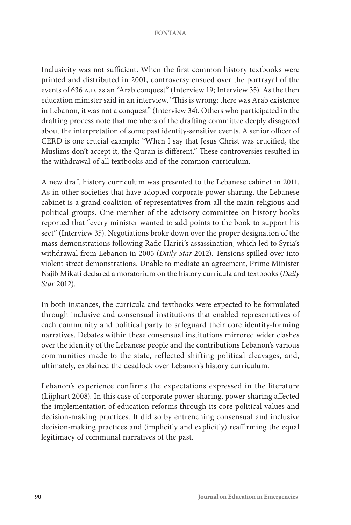Inclusivity was not sufficient. When the first common history textbooks were printed and distributed in 2001, controversy ensued over the portrayal of the events of 636 A.D. as an "Arab conquest" (Interview 19; Interview 35). As the then education minister said in an interview, "This is wrong; there was Arab existence in Lebanon, it was not a conquest" (Interview 34). Others who participated in the drafting process note that members of the drafting committee deeply disagreed about the interpretation of some past identity-sensitive events. A senior officer of CERD is one crucial example: "When I say that Jesus Christ was crucified, the Muslims don't accept it, the Quran is different." These controversies resulted in the withdrawal of all textbooks and of the common curriculum.

A new draft history curriculum was presented to the Lebanese cabinet in 2011. As in other societies that have adopted corporate power-sharing, the Lebanese cabinet is a grand coalition of representatives from all the main religious and political groups. One member of the advisory committee on history books reported that "every minister wanted to add points to the book to support his sect" (Interview 35). Negotiations broke down over the proper designation of the mass demonstrations following Rafic Hariri's assassination, which led to Syria's withdrawal from Lebanon in 2005 (*Daily Star* 2012). Tensions spilled over into violent street demonstrations. Unable to mediate an agreement, Prime Minister Najib Mikati declared a moratorium on the history curricula and textbooks (*Daily Star* 2012).

In both instances, the curricula and textbooks were expected to be formulated through inclusive and consensual institutions that enabled representatives of each community and political party to safeguard their core identity-forming narratives. Debates within these consensual institutions mirrored wider clashes over the identity of the Lebanese people and the contributions Lebanon's various communities made to the state, reflected shifting political cleavages, and, ultimately, explained the deadlock over Lebanon's history curriculum.

Lebanon's experience confirms the expectations expressed in the literature (Lijphart 2008). In this case of corporate power-sharing, power-sharing affected the implementation of education reforms through its core political values and decision-making practices. It did so by entrenching consensual and inclusive decision-making practices and (implicitly and explicitly) reaffirming the equal legitimacy of communal narratives of the past.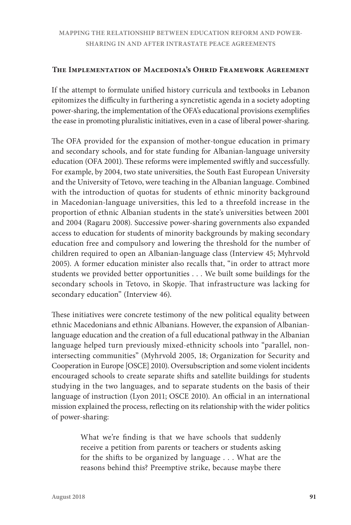## **The Implementation of Macedonia's Ohrid Framework Agreement**

If the attempt to formulate unified history curricula and textbooks in Lebanon epitomizes the difficulty in furthering a syncretistic agenda in a society adopting power-sharing, the implementation of the OFA's educational provisions exemplifies the ease in promoting pluralistic initiatives, even in a case of liberal power-sharing.

The OFA provided for the expansion of mother-tongue education in primary and secondary schools, and for state funding for Albanian-language university education (OFA 2001). These reforms were implemented swiftly and successfully. For example, by 2004, two state universities, the South East European University and the University of Tetovo, were teaching in the Albanian language. Combined with the introduction of quotas for students of ethnic minority background in Macedonian-language universities, this led to a threefold increase in the proportion of ethnic Albanian students in the state's universities between 2001 and 2004 (Ragaru 2008). Successive power-sharing governments also expanded access to education for students of minority backgrounds by making secondary education free and compulsory and lowering the threshold for the number of children required to open an Albanian-language class (Interview 45; Myhrvold 2005). A former education minister also recalls that, "in order to attract more students we provided better opportunities . . . We built some buildings for the secondary schools in Tetovo, in Skopje. That infrastructure was lacking for secondary education" (Interview 46).

These initiatives were concrete testimony of the new political equality between ethnic Macedonians and ethnic Albanians. However, the expansion of Albanianlanguage education and the creation of a full educational pathway in the Albanian language helped turn previously mixed-ethnicity schools into "parallel, nonintersecting communities" (Myhrvold 2005, 18; Organization for Security and Cooperation in Europe [OSCE] 2010). Oversubscription and some violent incidents encouraged schools to create separate shifts and satellite buildings for students studying in the two languages, and to separate students on the basis of their language of instruction (Lyon 2011; OSCE 2010). An official in an international mission explained the process, reflecting on its relationship with the wider politics of power-sharing:

> What we're finding is that we have schools that suddenly receive a petition from parents or teachers or students asking for the shifts to be organized by language . . . What are the reasons behind this? Preemptive strike, because maybe there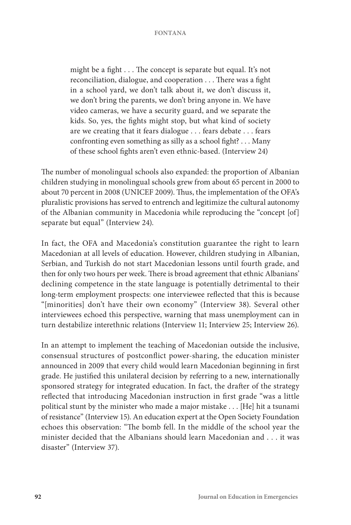might be a fight . . . The concept is separate but equal. It's not reconciliation, dialogue, and cooperation . . . There was a fight in a school yard, we don't talk about it, we don't discuss it, we don't bring the parents, we don't bring anyone in. We have video cameras, we have a security guard, and we separate the kids. So, yes, the fights might stop, but what kind of society are we creating that it fears dialogue . . . fears debate . . . fears confronting even something as silly as a school fight? . . . Many of these school fights aren't even ethnic-based. (Interview 24)

The number of monolingual schools also expanded: the proportion of Albanian children studying in monolingual schools grew from about 65 percent in 2000 to about 70 percent in 2008 (UNICEF 2009). Thus, the implementation of the OFA's pluralistic provisions has served to entrench and legitimize the cultural autonomy of the Albanian community in Macedonia while reproducing the "concept [of] separate but equal" (Interview 24).

In fact, the OFA and Macedonia's constitution guarantee the right to learn Macedonian at all levels of education. However, children studying in Albanian, Serbian, and Turkish do not start Macedonian lessons until fourth grade, and then for only two hours per week. There is broad agreement that ethnic Albanians' declining competence in the state language is potentially detrimental to their long-term employment prospects: one interviewee reflected that this is because "[minorities] don't have their own economy" (Interview 38). Several other interviewees echoed this perspective, warning that mass unemployment can in turn destabilize interethnic relations (Interview 11; Interview 25; Interview 26).

In an attempt to implement the teaching of Macedonian outside the inclusive, consensual structures of postconflict power-sharing, the education minister announced in 2009 that every child would learn Macedonian beginning in first grade. He justified this unilateral decision by referring to a new, internationally sponsored strategy for integrated education. In fact, the drafter of the strategy reflected that introducing Macedonian instruction in first grade "was a little political stunt by the minister who made a major mistake . . . [He] hit a tsunami of resistance" (Interview 15). An education expert at the Open Society Foundation echoes this observation: "The bomb fell. In the middle of the school year the minister decided that the Albanians should learn Macedonian and . . . it was disaster" (Interview 37).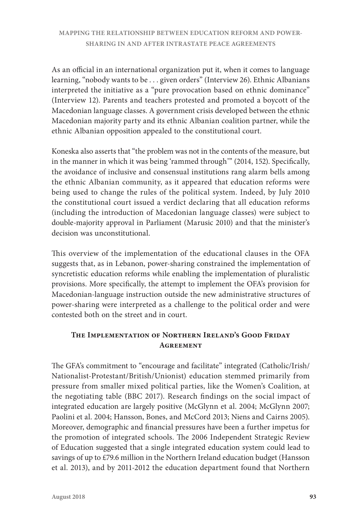As an official in an international organization put it, when it comes to language learning, "nobody wants to be . . . given orders" (Interview 26). Ethnic Albanians interpreted the initiative as a "pure provocation based on ethnic dominance" (Interview 12). Parents and teachers protested and promoted a boycott of the Macedonian language classes. A government crisis developed between the ethnic Macedonian majority party and its ethnic Albanian coalition partner, while the ethnic Albanian opposition appealed to the constitutional court.

Koneska also asserts that "the problem was not in the contents of the measure, but in the manner in which it was being 'rammed through'" (2014, 152). Specifically, the avoidance of inclusive and consensual institutions rang alarm bells among the ethnic Albanian community, as it appeared that education reforms were being used to change the rules of the political system. Indeed, by July 2010 the constitutional court issued a verdict declaring that all education reforms (including the introduction of Macedonian language classes) were subject to double-majority approval in Parliament (Marusic 2010) and that the minister's decision was unconstitutional.

This overview of the implementation of the educational clauses in the OFA suggests that, as in Lebanon, power-sharing constrained the implementation of syncretistic education reforms while enabling the implementation of pluralistic provisions. More specifically, the attempt to implement the OFA's provision for Macedonian-language instruction outside the new administrative structures of power-sharing were interpreted as a challenge to the political order and were contested both on the street and in court.

# **The Implementation of Northern Ireland's Good Friday Agreement**

The GFA's commitment to "encourage and facilitate" integrated (Catholic/Irish/ Nationalist-Protestant/British/Unionist) education stemmed primarily from pressure from smaller mixed political parties, like the Women's Coalition, at the negotiating table (BBC 2017). Research findings on the social impact of integrated education are largely positive (McGlynn et al. 2004; McGlynn 2007; Paolini et al. 2004; Hansson, Bones, and McCord 2013; Niens and Cairns 2005). Moreover, demographic and financial pressures have been a further impetus for the promotion of integrated schools. The 2006 Independent Strategic Review of Education suggested that a single integrated education system could lead to savings of up to £79.6 million in the Northern Ireland education budget (Hansson et al. 2013), and by 2011-2012 the education department found that Northern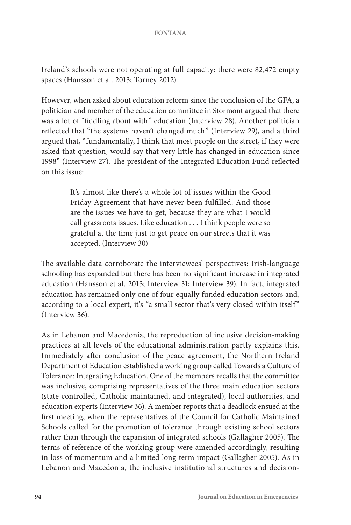Ireland's schools were not operating at full capacity: there were 82,472 empty spaces (Hansson et al. 2013; Torney 2012).

However, when asked about education reform since the conclusion of the GFA, a politician and member of the education committee in Stormont argued that there was a lot of "fiddling about with" education (Interview 28). Another politician reflected that "the systems haven't changed much" (Interview 29), and a third argued that, "fundamentally, I think that most people on the street, if they were asked that question, would say that very little has changed in education since 1998" (Interview 27). The president of the Integrated Education Fund reflected on this issue:

> It's almost like there's a whole lot of issues within the Good Friday Agreement that have never been fulfilled. And those are the issues we have to get, because they are what I would call grassroots issues. Like education . . . I think people were so grateful at the time just to get peace on our streets that it was accepted. (Interview 30)

The available data corroborate the interviewees' perspectives: Irish-language schooling has expanded but there has been no significant increase in integrated education (Hansson et al. 2013; Interview 31; Interview 39). In fact, integrated education has remained only one of four equally funded education sectors and, according to a local expert, it's "a small sector that's very closed within itself" (Interview 36).

As in Lebanon and Macedonia, the reproduction of inclusive decision-making practices at all levels of the educational administration partly explains this. Immediately after conclusion of the peace agreement, the Northern Ireland Department of Education established a working group called Towards a Culture of Tolerance: Integrating Education. One of the members recalls that the committee was inclusive, comprising representatives of the three main education sectors (state controlled, Catholic maintained, and integrated), local authorities, and education experts (Interview 36). A member reports that a deadlock ensued at the first meeting, when the representatives of the Council for Catholic Maintained Schools called for the promotion of tolerance through existing school sectors rather than through the expansion of integrated schools (Gallagher 2005). The terms of reference of the working group were amended accordingly, resulting in loss of momentum and a limited long-term impact (Gallagher 2005). As in Lebanon and Macedonia, the inclusive institutional structures and decision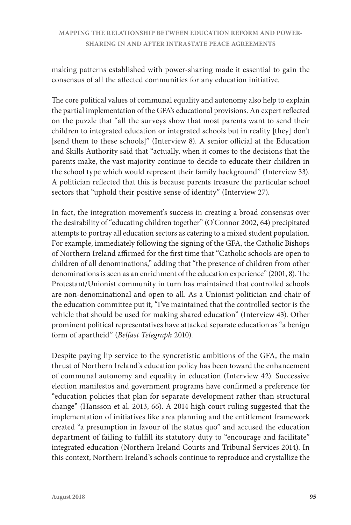making patterns established with power-sharing made it essential to gain the consensus of all the affected communities for any education initiative.

The core political values of communal equality and autonomy also help to explain the partial implementation of the GFA's educational provisions. An expert reflected on the puzzle that "all the surveys show that most parents want to send their children to integrated education or integrated schools but in reality [they] don't [send them to these schools]" (Interview 8). A senior official at the Education and Skills Authority said that "actually, when it comes to the decisions that the parents make, the vast majority continue to decide to educate their children in the school type which would represent their family background" (Interview 33). A politician reflected that this is because parents treasure the particular school sectors that "uphold their positive sense of identity" (Interview 27).

In fact, the integration movement's success in creating a broad consensus over the desirability of "educating children together" (O'Connor 2002, 64) precipitated attempts to portray all education sectors as catering to a mixed student population. For example, immediately following the signing of the GFA, the Catholic Bishops of Northern Ireland affirmed for the first time that "Catholic schools are open to children of all denominations," adding that "the presence of children from other denominations is seen as an enrichment of the education experience" (2001, 8). The Protestant/Unionist community in turn has maintained that controlled schools are non-denominational and open to all. As a Unionist politician and chair of the education committee put it, "I've maintained that the controlled sector is the vehicle that should be used for making shared education" (Interview 43). Other prominent political representatives have attacked separate education as "a benign form of apartheid" (*Belfast Telegraph* 2010).

Despite paying lip service to the syncretistic ambitions of the GFA, the main thrust of Northern Ireland's education policy has been toward the enhancement of communal autonomy and equality in education (Interview 42). Successive election manifestos and government programs have confirmed a preference for "education policies that plan for separate development rather than structural change" (Hansson et al. 2013, 66). A 2014 high court ruling suggested that the implementation of initiatives like area planning and the entitlement framework created "a presumption in favour of the status quo" and accused the education department of failing to fulfill its statutory duty to "encourage and facilitate" integrated education (Northern Ireland Courts and Tribunal Services 2014). In this context, Northern Ireland's schools continue to reproduce and crystallize the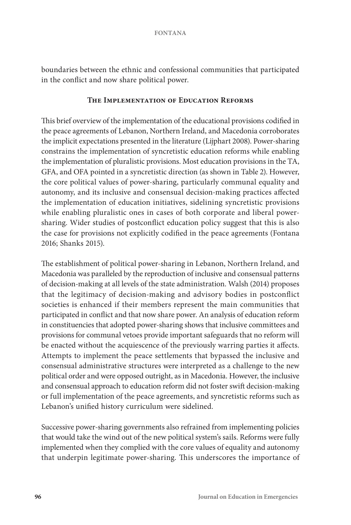boundaries between the ethnic and confessional communities that participated in the conflict and now share political power.

## **The Implementation of Education Reforms**

This brief overview of the implementation of the educational provisions codified in the peace agreements of Lebanon, Northern Ireland, and Macedonia corroborates the implicit expectations presented in the literature (Lijphart 2008). Power-sharing constrains the implementation of syncretistic education reforms while enabling the implementation of pluralistic provisions. Most education provisions in the TA, GFA, and OFA pointed in a syncretistic direction (as shown in Table 2). However, the core political values of power-sharing, particularly communal equality and autonomy, and its inclusive and consensual decision-making practices affected the implementation of education initiatives, sidelining syncretistic provisions while enabling pluralistic ones in cases of both corporate and liberal powersharing. Wider studies of postconflict education policy suggest that this is also the case for provisions not explicitly codified in the peace agreements (Fontana 2016; Shanks 2015).

The establishment of political power-sharing in Lebanon, Northern Ireland, and Macedonia was paralleled by the reproduction of inclusive and consensual patterns of decision-making at all levels of the state administration. Walsh (2014) proposes that the legitimacy of decision-making and advisory bodies in postconflict societies is enhanced if their members represent the main communities that participated in conflict and that now share power. An analysis of education reform in constituencies that adopted power-sharing shows that inclusive committees and provisions for communal vetoes provide important safeguards that no reform will be enacted without the acquiescence of the previously warring parties it affects. Attempts to implement the peace settlements that bypassed the inclusive and consensual administrative structures were interpreted as a challenge to the new political order and were opposed outright, as in Macedonia. However, the inclusive and consensual approach to education reform did not foster swift decision-making or full implementation of the peace agreements, and syncretistic reforms such as Lebanon's unified history curriculum were sidelined.

Successive power-sharing governments also refrained from implementing policies that would take the wind out of the new political system's sails. Reforms were fully implemented when they complied with the core values of equality and autonomy that underpin legitimate power-sharing. This underscores the importance of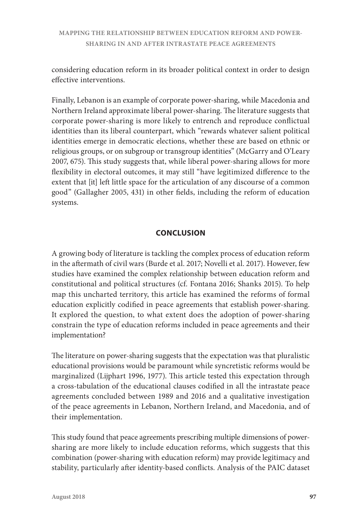considering education reform in its broader political context in order to design effective interventions.

Finally, Lebanon is an example of corporate power-sharing, while Macedonia and Northern Ireland approximate liberal power-sharing. The literature suggests that corporate power-sharing is more likely to entrench and reproduce conflictual identities than its liberal counterpart, which "rewards whatever salient political identities emerge in democratic elections, whether these are based on ethnic or religious groups, or on subgroup or transgroup identities" (McGarry and O'Leary 2007, 675). This study suggests that, while liberal power-sharing allows for more flexibility in electoral outcomes, it may still "have legitimized difference to the extent that [it] left little space for the articulation of any discourse of a common good" (Gallagher 2005, 431) in other fields, including the reform of education systems.

# **CONCLUSION**

A growing body of literature is tackling the complex process of education reform in the aftermath of civil wars (Burde et al. 2017; Novelli et al. 2017). However, few studies have examined the complex relationship between education reform and constitutional and political structures (cf. Fontana 2016; Shanks 2015). To help map this uncharted territory, this article has examined the reforms of formal education explicitly codified in peace agreements that establish power-sharing. It explored the question, to what extent does the adoption of power-sharing constrain the type of education reforms included in peace agreements and their implementation?

The literature on power-sharing suggests that the expectation was that pluralistic educational provisions would be paramount while syncretistic reforms would be marginalized (Lijphart 1996, 1977). This article tested this expectation through a cross-tabulation of the educational clauses codified in all the intrastate peace agreements concluded between 1989 and 2016 and a qualitative investigation of the peace agreements in Lebanon, Northern Ireland, and Macedonia, and of their implementation.

This study found that peace agreements prescribing multiple dimensions of powersharing are more likely to include education reforms, which suggests that this combination (power-sharing with education reform) may provide legitimacy and stability, particularly after identity-based conflicts. Analysis of the PAIC dataset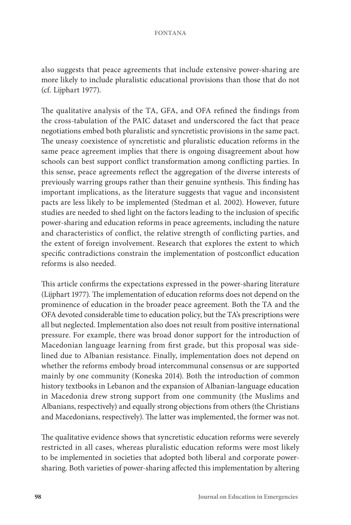also suggests that peace agreements that include extensive power-sharing are more likely to include pluralistic educational provisions than those that do not (cf. Lijphart 1977).

The qualitative analysis of the TA, GFA, and OFA refined the findings from the cross-tabulation of the PAIC dataset and underscored the fact that peace negotiations embed both pluralistic and syncretistic provisions in the same pact. The uneasy coexistence of syncretistic and pluralistic education reforms in the same peace agreement implies that there is ongoing disagreement about how schools can best support conflict transformation among conflicting parties. In this sense, peace agreements reflect the aggregation of the diverse interests of previously warring groups rather than their genuine synthesis. This finding has important implications, as the literature suggests that vague and inconsistent pacts are less likely to be implemented (Stedman et al. 2002). However, future studies are needed to shed light on the factors leading to the inclusion of specific power-sharing and education reforms in peace agreements, including the nature and characteristics of conflict, the relative strength of conflicting parties, and the extent of foreign involvement. Research that explores the extent to which specific contradictions constrain the implementation of postconflict education reforms is also needed.

This article confirms the expectations expressed in the power-sharing literature (Lijphart 1977). The implementation of education reforms does not depend on the prominence of education in the broader peace agreement. Both the TA and the OFA devoted considerable time to education policy, but the TA's prescriptions were all but neglected. Implementation also does not result from positive international pressure. For example, there was broad donor support for the introduction of Macedonian language learning from first grade, but this proposal was sidelined due to Albanian resistance. Finally, implementation does not depend on whether the reforms embody broad intercommunal consensus or are supported mainly by one community (Koneska 2014). Both the introduction of common history textbooks in Lebanon and the expansion of Albanian-language education in Macedonia drew strong support from one community (the Muslims and Albanians, respectively) and equally strong objections from others (the Christians and Macedonians, respectively). The latter was implemented, the former was not.

The qualitative evidence shows that syncretistic education reforms were severely restricted in all cases, whereas pluralistic education reforms were most likely to be implemented in societies that adopted both liberal and corporate powersharing. Both varieties of power-sharing affected this implementation by altering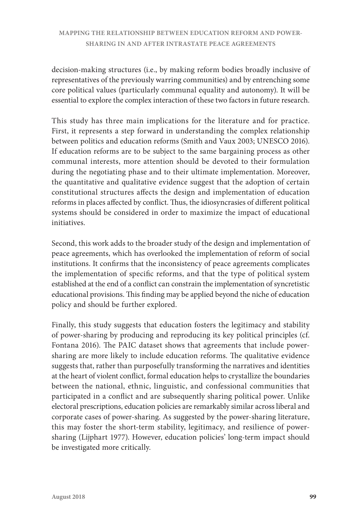decision-making structures (i.e., by making reform bodies broadly inclusive of representatives of the previously warring communities) and by entrenching some core political values (particularly communal equality and autonomy). It will be essential to explore the complex interaction of these two factors in future research.

This study has three main implications for the literature and for practice. First, it represents a step forward in understanding the complex relationship between politics and education reforms (Smith and Vaux 2003; UNESCO 2016). If education reforms are to be subject to the same bargaining process as other communal interests, more attention should be devoted to their formulation during the negotiating phase and to their ultimate implementation. Moreover, the quantitative and qualitative evidence suggest that the adoption of certain constitutional structures affects the design and implementation of education reforms in places affected by conflict. Thus, the idiosyncrasies of different political systems should be considered in order to maximize the impact of educational initiatives.

Second, this work adds to the broader study of the design and implementation of peace agreements, which has overlooked the implementation of reform of social institutions. It confirms that the inconsistency of peace agreements complicates the implementation of specific reforms, and that the type of political system established at the end of a conflict can constrain the implementation of syncretistic educational provisions. This finding may be applied beyond the niche of education policy and should be further explored.

Finally, this study suggests that education fosters the legitimacy and stability of power-sharing by producing and reproducing its key political principles (cf. Fontana 2016). The PAIC dataset shows that agreements that include powersharing are more likely to include education reforms. The qualitative evidence suggests that, rather than purposefully transforming the narratives and identities at the heart of violent conflict, formal education helps to crystallize the boundaries between the national, ethnic, linguistic, and confessional communities that participated in a conflict and are subsequently sharing political power. Unlike electoral prescriptions, education policies are remarkably similar across liberal and corporate cases of power-sharing. As suggested by the power-sharing literature, this may foster the short-term stability, legitimacy, and resilience of powersharing (Lijphart 1977). However, education policies' long-term impact should be investigated more critically.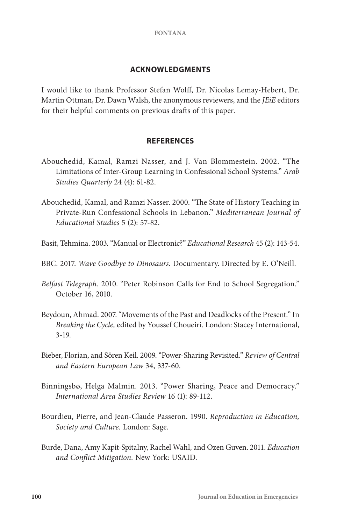#### **ACKNOWLEDGMENTS**

I would like to thank Professor Stefan Wolff, Dr. Nicolas Lemay-Hebert, Dr. Martin Ottman, Dr. Dawn Walsh, the anonymous reviewers, and the *JEiE* editors for their helpful comments on previous drafts of this paper.

#### **REFERENCES**

- Abouchedid, Kamal, Ramzi Nasser, and J. Van Blommestein. 2002. "The Limitations of Inter-Group Learning in Confessional School Systems." *Arab Studies Quarterly* 24 (4): 61-82.
- Abouchedid, Kamal, and Ramzi Nasser. 2000. "The State of History Teaching in Private-Run Confessional Schools in Lebanon." *Mediterranean Journal of Educational Studies* 5 (2): 57-82.
- Basit, Tehmina. 2003. "Manual or Electronic?" *Educational Research* 45 (2): 143-54.
- BBC. 2017. *Wave Goodbye to Dinosaurs.* Documentary. Directed by E. O'Neill.
- *Belfast Telegraph.* 2010. "Peter Robinson Calls for End to School Segregation." October 16, 2010.
- Beydoun, Ahmad. 2007. "Movements of the Past and Deadlocks of the Present." In *Breaking the Cycle,* edited by Youssef Choueiri. London: Stacey International, 3-19.
- Bieber, Florian, and Sören Keil. 2009. "Power-Sharing Revisited." *Review of Central and Eastern European Law* 34, 337-60.
- Binningsbø, Helga Malmin. 2013. "Power Sharing, Peace and Democracy." *International Area Studies Review* 16 (1): 89-112.
- Bourdieu, Pierre, and Jean-Claude Passeron. 1990. *Reproduction in Education, Society and Culture.* London: Sage.
- Burde, Dana, Amy Kapit-Spitalny, Rachel Wahl, and Ozen Guven. 2011. *Education and Conflict Mitigation.* New York: USAID.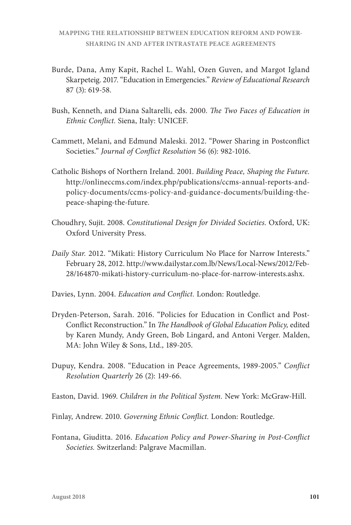- Burde, Dana, Amy Kapit, Rachel L. Wahl, Ozen Guven, and Margot Igland Skarpeteig. 2017. "Education in Emergencies." *Review of Educational Research*  87 (3): 619-58.
- Bush, Kenneth, and Diana Saltarelli, eds. 2000. *The Two Faces of Education in Ethnic Conflict.* Siena, Italy: UNICEF.
- Cammett, Melani, and Edmund Maleski. 2012. "Power Sharing in Postconflict Societies." *Journal of Conflict Resolution* 56 (6): 982-1016.
- Catholic Bishops of Northern Ireland. 2001. *Building Peace, Shaping the Future.* http://onlineccms.com/index.php/publications/ccms-annual-reports-andpolicy-documents/ccms-policy-and-guidance-documents/building-thepeace-shaping-the-future.
- Choudhry, Sujit. 2008. *Constitutional Design for Divided Societies.* Oxford, UK: Oxford University Press.
- *Daily Star.* 2012. "Mikati: History Curriculum No Place for Narrow Interests." February 28, 2012. http://www.dailystar.com.lb/News/Local-News/2012/Feb-28/164870-mikati-history-curriculum-no-place-for-narrow-interests.ashx.
- Davies, Lynn. 2004. *Education and Conflict.* London: Routledge.
- Dryden-Peterson, Sarah. 2016. "Policies for Education in Conflict and Post-Conflict Reconstruction." In *The Handbook of Global Education Policy,* edited by Karen Mundy, Andy Green, Bob Lingard, and Antoni Verger. Malden, MA: John Wiley & Sons, Ltd., 189-205.
- Dupuy, Kendra. 2008. "Education in Peace Agreements, 1989-2005." *Conflict Resolution Quarterly* 26 (2): 149-66.
- Easton, David. 1969. *Children in the Political System.* New York: McGraw-Hill.
- Finlay, Andrew. 2010. *Governing Ethnic Conflict.* London: Routledge.
- Fontana, Giuditta. 2016. *Education Policy and Power-Sharing in Post-Conflict Societies.* Switzerland: Palgrave Macmillan.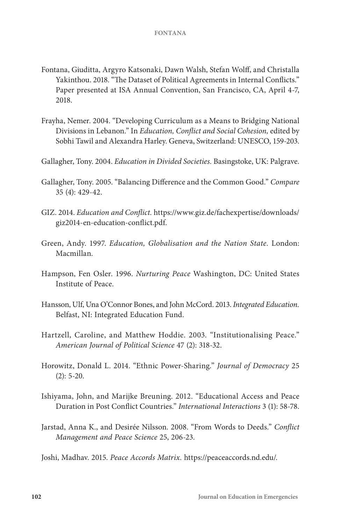- Fontana, Giuditta, Argyro Katsonaki, Dawn Walsh, Stefan Wolff, and Christalla Yakinthou. 2018. "The Dataset of Political Agreements in Internal Conflicts." Paper presented at ISA Annual Convention, San Francisco, CA, April 4-7, 2018.
- Frayha, Nemer. 2004. "Developing Curriculum as a Means to Bridging National Divisions in Lebanon." In *Education, Conflict and Social Cohesion,* edited by Sobhi Tawil and Alexandra Harley. Geneva, Switzerland: UNESCO, 159-203.
- Gallagher, Tony. 2004. *Education in Divided Societies.* Basingstoke, UK: Palgrave.
- Gallagher, Tony. 2005. "Balancing Difference and the Common Good." *Compare* 35 (4): 429-42.
- GIZ. 2014. *Education and Conflict.* https://www.giz.de/fachexpertise/downloads/ giz2014-en-education-conflict.pdf.
- Green, Andy. 1997. *Education, Globalisation and the Nation State.* London: Macmillan.
- Hampson, Fen Osler. 1996. *Nurturing Peace* Washington, DC: United States Institute of Peace.
- Hansson, Ulf, Una O'Connor Bones, and John McCord. 2013. *Integrated Education.* Belfast, NI: Integrated Education Fund.
- Hartzell, Caroline, and Matthew Hoddie. 2003. "Institutionalising Peace." *American Journal of Political Science* 47 (2): 318-32.
- Horowitz, Donald L. 2014. "Ethnic Power-Sharing." *Journal of Democracy* 25  $(2): 5-20.$
- Ishiyama, John, and Marijke Breuning. 2012. "Educational Access and Peace Duration in Post Conflict Countries." *International Interactions* 3 (1): 58-78.
- Jarstad, Anna K., and Desirée Nilsson. 2008. "From Words to Deeds." *Conflict Management and Peace Science* 25, 206-23.
- Joshi, Madhav. 2015. *Peace Accords Matrix.* https://peaceaccords.nd.edu/.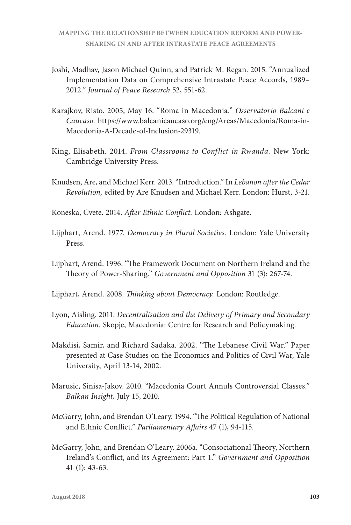- Joshi, Madhav, Jason Michael Quinn, and Patrick M. Regan. 2015. "Annualized Implementation Data on Comprehensive Intrastate Peace Accords, 1989– 2012." *Journal of Peace Research* 52, 551-62.
- Karajkov, Risto. 2005, May 16. "Roma in Macedonia." *Osservatorio Balcani e Caucaso.* https://www.balcanicaucaso.org/eng/Areas/Macedonia/Roma-in-Macedonia-A-Decade-of-Inclusion-29319.
- King, Elisabeth. 2014. *From Classrooms to Conflict in Rwanda.* New York: Cambridge University Press.
- Knudsen, Are, and Michael Kerr. 2013. "Introduction." In *Lebanon after the Cedar Revolution,* edited by Are Knudsen and Michael Kerr. London: Hurst, 3-21.
- Koneska, Cvete. 2014. *After Ethnic Conflict.* London: Ashgate.
- Lijphart, Arend. 1977. *Democracy in Plural Societies.* London: Yale University Press.
- Lijphart, Arend. 1996. "The Framework Document on Northern Ireland and the Theory of Power-Sharing." *Government and Opposition* 31 (3): 267-74.
- Lijphart, Arend. 2008. *Thinking about Democracy.* London: Routledge.
- Lyon, Aisling. 2011. *Decentralisation and the Delivery of Primary and Secondary Education.* Skopje, Macedonia: Centre for Research and Policymaking.
- Makdisi, Samir, and Richard Sadaka. 2002. "The Lebanese Civil War." Paper presented at Case Studies on the Economics and Politics of Civil War, Yale University, April 13-14, 2002.
- Marusic, Sinisa-Jakov. 2010. "Macedonia Court Annuls Controversial Classes." *Balkan Insight,* July 15, 2010.
- McGarry, John, and Brendan O'Leary. 1994. "The Political Regulation of National and Ethnic Conflict." *Parliamentary Affairs* 47 (1), 94-115.
- McGarry, John, and Brendan O'Leary. 2006a. "Consociational Theory, Northern Ireland's Conflict, and Its Agreement: Part 1." *Government and Opposition* 41 (1): 43-63.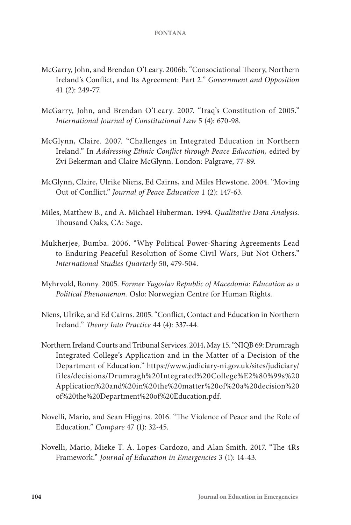- McGarry, John, and Brendan O'Leary. 2006b. "Consociational Theory, Northern Ireland's Conflict, and Its Agreement: Part 2." *Government and Opposition*  41 (2): 249-77.
- McGarry, John, and Brendan O'Leary. 2007. "Iraq's Constitution of 2005." *International Journal of Constitutional Law* 5 (4): 670-98.
- McGlynn, Claire. 2007. "Challenges in Integrated Education in Northern Ireland." In *Addressing Ethnic Conflict through Peace Education,* edited by Zvi Bekerman and Claire McGlynn. London: Palgrave, 77-89.
- McGlynn, Claire, Ulrike Niens, Ed Cairns, and Miles Hewstone. 2004. "Moving Out of Conflict." *Journal of Peace Education* 1 (2): 147-63.
- Miles, Matthew B., and A. Michael Huberman. 1994. *Qualitative Data Analysis.*  Thousand Oaks, CA: Sage.
- Mukherjee, Bumba. 2006. "Why Political Power-Sharing Agreements Lead to Enduring Peaceful Resolution of Some Civil Wars, But Not Others." *International Studies Quarterly* 50, 479-504.
- Myhrvold, Ronny. 2005. *Former Yugoslav Republic of Macedonia: Education as a Political Phenomenon.* Oslo: Norwegian Centre for Human Rights.
- Niens, Ulrike, and Ed Cairns. 2005. "Conflict, Contact and Education in Northern Ireland." *Theory Into Practice* 44 (4): 337-44.
- Northern Ireland Courts and Tribunal Services. 2014, May 15. "NIQB 69: Drumragh Integrated College's Application and in the Matter of a Decision of the Department of Education." https://www.judiciary-ni.gov.uk/sites/judiciary/ files/decisions/Drumragh%20Integrated%20College%E2%80%99s%20 Application%20and%20in%20the%20matter%20of%20a%20decision%20 of%20the%20Department%20of%20Education.pdf.
- Novelli, Mario, and Sean Higgins. 2016. "The Violence of Peace and the Role of Education." *Compare* 47 (1): 32-45.
- Novelli, Mario, Mieke T. A. Lopes-Cardozo, and Alan Smith. 2017. "The 4Rs Framework." *Journal of Education in Emergencies* 3 (1): 14-43.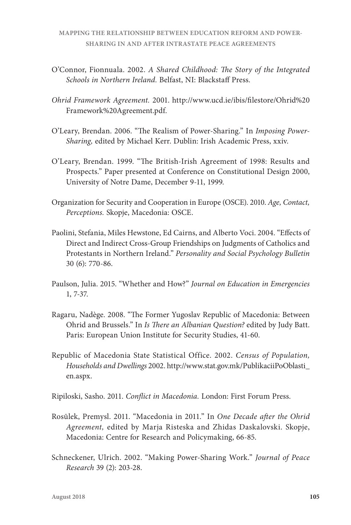- O'Connor, Fionnuala. 2002. *A Shared Childhood: The Story of the Integrated Schools in Northern Ireland.* Belfast, NI: Blackstaff Press.
- *Ohrid Framework Agreement.* 2001. http://www.ucd.ie/ibis/filestore/Ohrid%20 Framework%20Agreement.pdf.
- O'Leary, Brendan. 2006. "The Realism of Power-Sharing." In *Imposing Power-Sharing,* edited by Michael Kerr. Dublin: Irish Academic Press, xxiv.
- O'Leary, Brendan. 1999. "The British-Irish Agreement of 1998: Results and Prospects." Paper presented at Conference on Constitutional Design 2000, University of Notre Dame, December 9-11, 1999.
- Organization for Security and Cooperation in Europe (OSCE). 2010. *Age, Contact, Perceptions.* Skopje, Macedonia: OSCE.
- Paolini, Stefania, Miles Hewstone, Ed Cairns, and Alberto Voci. 2004. "Effects of Direct and Indirect Cross-Group Friendships on Judgments of Catholics and Protestants in Northern Ireland." *Personality and Social Psychology Bulletin* 30 (6): 770-86.
- Paulson, Julia. 2015. "Whether and How?" *Journal on Education in Emergencies* 1, 7-37.
- Ragaru, Nadège. 2008. "The Former Yugoslav Republic of Macedonia: Between Ohrid and Brussels." In *Is There an Albanian Question?* edited by Judy Batt. Paris: European Union Institute for Security Studies, 41-60.
- Republic of Macedonia State Statistical Office. 2002. *Census of Population, Households and Dwellings* 2002. http://www.stat.gov.mk/PublikaciiPoOblasti\_ en.aspx.
- Ripiloski, Sasho. 2011. *Conflict in Macedonia.* London: First Forum Press.
- Rosūlek, Premysl. 2011. "Macedonia in 2011." In *One Decade after the Ohrid Agreement,* edited by Marja Risteska and Zhidas Daskalovski. Skopje, Macedonia: Centre for Research and Policymaking, 66-85.
- Schneckener, Ulrich. 2002. "Making Power-Sharing Work." *Journal of Peace Research* 39 (2): 203-28.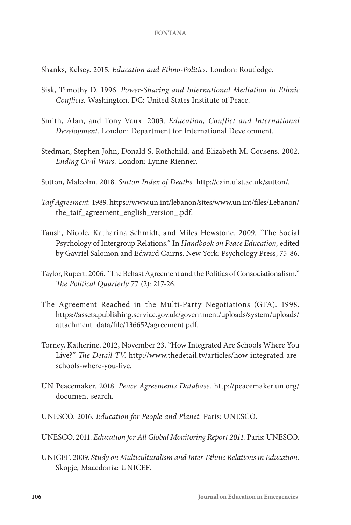Shanks, Kelsey. 2015. *Education and Ethno-Politics.* London: Routledge.

- Sisk, Timothy D. 1996. *Power-Sharing and International Mediation in Ethnic Conflicts.* Washington, DC: United States Institute of Peace.
- Smith, Alan, and Tony Vaux. 2003. *Education, Conflict and International Development.* London: Department for International Development.
- Stedman, Stephen John, Donald S. Rothchild, and Elizabeth M. Cousens. 2002. *Ending Civil Wars.* London: Lynne Rienner.
- Sutton, Malcolm. 2018. *Sutton Index of Deaths.* http://cain.ulst.ac.uk/sutton/.
- *Taif Agreement.* 1989. https://www.un.int/lebanon/sites/www.un.int/files/Lebanon/ the\_taif\_agreement\_english\_version\_.pdf.
- Taush, Nicole, Katharina Schmidt, and Miles Hewstone. 2009. "The Social Psychology of Intergroup Relations." In *Handbook on Peace Education,* edited by Gavriel Salomon and Edward Cairns. New York: Psychology Press, 75-86.
- Taylor, Rupert. 2006. "The Belfast Agreement and the Politics of Consociationalism." *The Political Quarterly* 77 (2): 217-26.
- The Agreement Reached in the Multi-Party Negotiations (GFA). 1998. https://assets.publishing.service.gov.uk/government/uploads/system/uploads/ attachment\_data/file/136652/agreement.pdf.
- Torney, Katherine. 2012, November 23. "How Integrated Are Schools Where You Live?" *The Detail TV.* http://www.thedetail.tv/articles/how-integrated-areschools-where-you-live.
- UN Peacemaker. 2018. *Peace Agreements Database.* http://peacemaker.un.org/ document-search.
- UNESCO. 2016. *Education for People and Planet.* Paris: UNESCO.
- UNESCO. 2011. *Education for All Global Monitoring Report 2011.* Paris: UNESCO.
- UNICEF. 2009. *Study on Multiculturalism and Inter-Ethnic Relations in Education.* Skopje, Macedonia: UNICEF.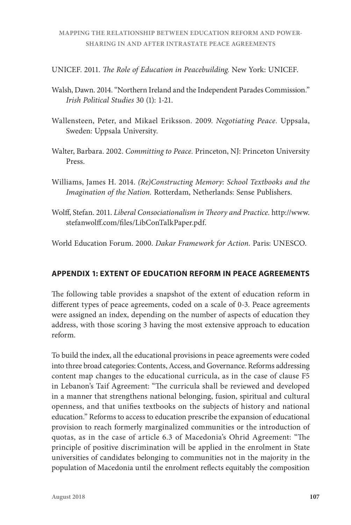UNICEF. 2011. *The Role of Education in Peacebuilding.* New York: UNICEF.

- Walsh, Dawn. 2014. "Northern Ireland and the Independent Parades Commission." *Irish Political Studies* 30 (1): 1-21.
- Wallensteen, Peter, and Mikael Eriksson. 2009. *Negotiating Peace.* Uppsala, Sweden: Uppsala University.
- Walter, Barbara. 2002. *Committing to Peace.* Princeton, NJ: Princeton University Press.
- Williams, James H. 2014. *(Re)Constructing Memory: School Textbooks and the Imagination of the Nation.* Rotterdam, Netherlands: Sense Publishers.
- Wolff, Stefan. 2011. *Liberal Consociationalism in Theory and Practice.* http://www. stefanwolff.com/files/LibConTalkPaper.pdf.

World Education Forum. 2000. *Dakar Framework for Action.* Paris: UNESCO.

# **APPENDIX 1: EXTENT OF EDUCATION REFORM IN PEACE AGREEMENTS**

The following table provides a snapshot of the extent of education reform in different types of peace agreements, coded on a scale of 0-3. Peace agreements were assigned an index, depending on the number of aspects of education they address, with those scoring 3 having the most extensive approach to education reform.

To build the index, all the educational provisions in peace agreements were coded into three broad categories: Contents, Access, and Governance. Reforms addressing content map changes to the educational curricula, as in the case of clause F5 in Lebanon's Taif Agreement: "The curricula shall be reviewed and developed in a manner that strengthens national belonging, fusion, spiritual and cultural openness, and that unifies textbooks on the subjects of history and national education." Reforms to access to education prescribe the expansion of educational provision to reach formerly marginalized communities or the introduction of quotas, as in the case of article 6.3 of Macedonia's Ohrid Agreement: "The principle of positive discrimination will be applied in the enrolment in State universities of candidates belonging to communities not in the majority in the population of Macedonia until the enrolment reflects equitably the composition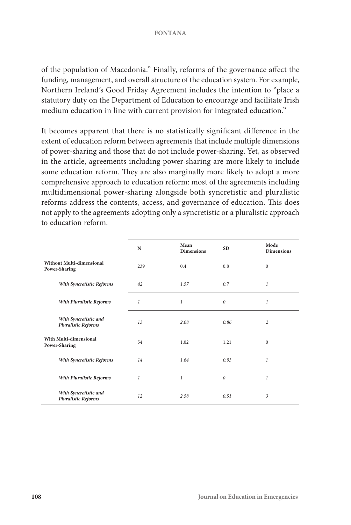of the population of Macedonia." Finally, reforms of the governance affect the funding, management, and overall structure of the education system. For example, Northern Ireland's Good Friday Agreement includes the intention to "place a statutory duty on the Department of Education to encourage and facilitate Irish medium education in line with current provision for integrated education."

It becomes apparent that there is no statistically significant difference in the extent of education reform between agreements that include multiple dimensions of power-sharing and those that do not include power-sharing. Yet, as observed in the article, agreements including power-sharing are more likely to include some education reform. They are also marginally more likely to adopt a more comprehensive approach to education reform: most of the agreements including multidimensional power-sharing alongside both syncretistic and pluralistic reforms address the contents, access, and governance of education. This does not apply to the agreements adopting only a syncretistic or a pluralistic approach to education reform.

|                                                     | N                | Mean<br><b>Dimensions</b> | <b>SD</b> | Mode<br><b>Dimensions</b> |
|-----------------------------------------------------|------------------|---------------------------|-----------|---------------------------|
| Without Multi-dimensional<br>Power-Sharing          | 239              | 0.4                       | 0.8       | $\mathbf{0}$              |
| With Syncretistic Reforms                           | 42               | 1.57                      | 0.7       | 1                         |
| With Pluralistic Reforms                            | $\boldsymbol{l}$ | 1                         | 0         | 1                         |
| With Syncretistic and<br><b>Pluralistic Reforms</b> | 13               | 2.08                      | 0.86      | 2                         |
| With Multi-dimensional<br>Power-Sharing             | 54               | 1.02                      | 1.21      | $\mathbf{0}$              |
| With Syncretistic Reforms                           | 14               | 1.64                      | 0.93      | 1                         |
| <b>With Pluralistic Reforms</b>                     | 1                | 1                         | 0         | 1                         |
| With Syncretistic and<br><b>Pluralistic Reforms</b> | 12               | 2.58                      | 0.51      | 3                         |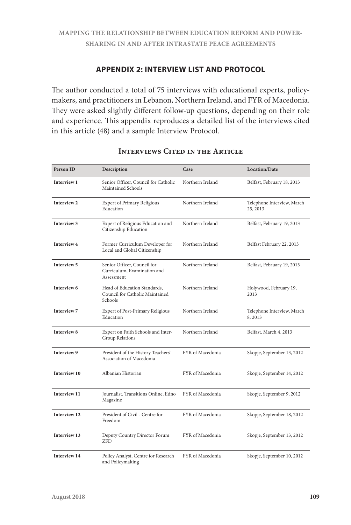# **APPENDIX 2: INTERVIEW LIST AND PROTOCOL**

The author conducted a total of 75 interviews with educational experts, policymakers, and practitioners in Lebanon, Northern Ireland, and FYR of Macedonia. They were asked slightly different follow-up questions, depending on their role and experience. This appendix reproduces a detailed list of the interviews cited in this article (48) and a sample Interview Protocol.

| Person ID           | Description                                                                | Case             | <b>Location/Date</b>                   |
|---------------------|----------------------------------------------------------------------------|------------------|----------------------------------------|
| Interview 1         | Senior Officer, Council for Catholic<br>Maintained Schools                 | Northern Ireland | Belfast, February 18, 2013             |
| Interview 2         | <b>Expert of Primary Religious</b><br>Education                            | Northern Ireland | Telephone Interview, March<br>25, 2013 |
| Interview 3         | Expert of Religious Education and<br>Citizenship Education                 | Northern Ireland | Belfast, February 19, 2013             |
| Interview 4         | Former Curriculum Developer for<br>Local and Global Citizenship            | Northern Ireland | Belfast February 22, 2013              |
| Interview 5         | Senior Officer, Council for<br>Curriculum, Examination and<br>Assessment   | Northern Ireland | Belfast, February 19, 2013             |
| Interview 6         | Head of Education Standards,<br>Council for Catholic Maintained<br>Schools | Northern Ireland | Holywood, February 19,<br>2013         |
| <b>Interview 7</b>  | Expert of Post-Primary Religious<br>Education                              | Northern Ireland | Telephone Interview, March<br>8,2013   |
| Interview 8         | Expert on Faith Schools and Inter-<br>Group Relations                      | Northern Ireland | Belfast, March 4, 2013                 |
| Interview 9         | President of the History Teachers'<br>Association of Macedonia             | FYR of Macedonia | Skopje, September 13, 2012             |
| Interview 10        | Albanian Historian                                                         | FYR of Macedonia | Skopje, September 14, 2012             |
| Interview 11        | Journalist, Transitions Online, Edno<br>Magazine                           | FYR of Macedonia | Skopje, September 9, 2012              |
| Interview 12        | President of Civil - Centre for<br>Freedom                                 | FYR of Macedonia | Skopje, September 18, 2012             |
| Interview 13        | Deputy Country Director Forum<br><b>ZFD</b>                                | FYR of Macedonia | Skopje, September 13, 2012             |
| <b>Interview 14</b> | Policy Analyst, Centre for Research<br>and Policymaking                    | FYR of Macedonia | Skopje, September 10, 2012             |

# **INTERVIEWS CITED IN THE ARTICLE**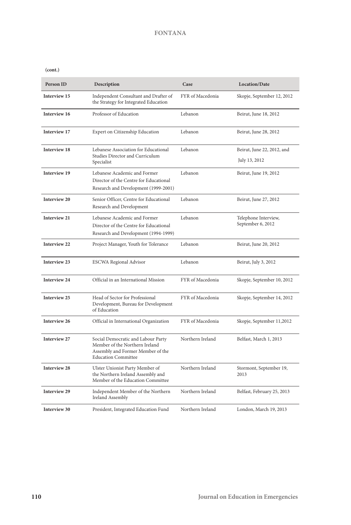**(cont.)**

| Person ID           | Description                                                                                                                             | Case             | Location/Date                               |
|---------------------|-----------------------------------------------------------------------------------------------------------------------------------------|------------------|---------------------------------------------|
| Interview 15        | Independent Consultant and Drafter of<br>the Strategy for Integrated Education                                                          | FYR of Macedonia | Skopje, September 12, 2012                  |
| Interview 16        | Professor of Education                                                                                                                  | Lebanon          | Beirut, June 18, 2012                       |
| Interview 17        | Expert on Citizenship Education                                                                                                         | Lebanon          | Beirut, June 28, 2012                       |
| <b>Interview 18</b> | Lebanese Association for Educational<br>Studies Director and Curriculum<br>Specialist                                                   | Lebanon          | Beirut, June 22, 2012, and<br>July 13, 2012 |
| <b>Interview 19</b> | Lebanese Academic and Former<br>Director of the Centre for Educational<br>Research and Development (1999-2001)                          | Lebanon          | Beirut, June 19, 2012                       |
| Interview 20        | Senior Officer, Centre for Educational<br>Research and Development                                                                      | Lebanon          | Beirut, June 27, 2012                       |
| <b>Interview 21</b> | Lebanese Academic and Former<br>Director of the Centre for Educational<br>Research and Development (1994-1999)                          | Lebanon          | Telephone Interview,<br>September 6, 2012   |
| Interview 22        | Project Manager, Youth for Tolerance                                                                                                    | Lebanon          | Beirut, June 20, 2012                       |
| Interview 23        | <b>ESCWA Regional Advisor</b>                                                                                                           | Lebanon          | Beirut, July 3, 2012                        |
| Interview 24        | Official in an International Mission                                                                                                    | FYR of Macedonia | Skopje, September 10, 2012                  |
| Interview 25        | Head of Sector for Professional<br>Development, Bureau for Development<br>of Education                                                  | FYR of Macedonia | Skopje, September 14, 2012                  |
| Interview 26        | Official in International Organization                                                                                                  | FYR of Macedonia | Skopje, September 11,2012                   |
| Interview 27        | Social Democratic and Labour Party<br>Member of the Northern Ireland<br>Assembly and Former Member of the<br><b>Education Committee</b> | Northern Ireland | Belfast, March 1, 2013                      |
| <b>Interview 28</b> | Ulster Unionist Party Member of<br>the Northern Ireland Assembly and<br>Member of the Education Committee                               | Northern Ireland | Stormont, September 19,<br>2013             |
| <b>Interview 29</b> | Independent Member of the Northern<br>Ireland Assembly                                                                                  | Northern Ireland | Belfast, February 25, 2013                  |
| <b>Interview 30</b> | President, Integrated Education Fund                                                                                                    | Northern Ireland | London, March 19, 2013                      |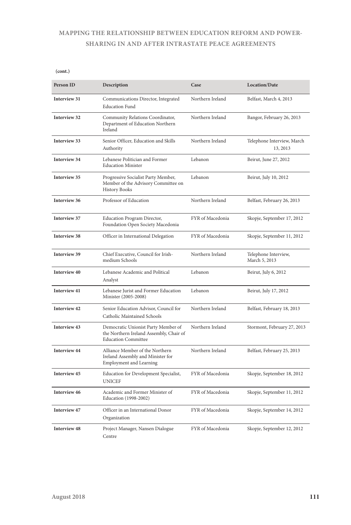# **MAPPING THE RELATIONSHIP BETWEEN EDUCATION REFORM AND POWER-SHARING IN AND AFTER INTRASTATE PEACE AGREEMENTS**

**(cont.)**

| Person ID           | Description                                                                                                  | Case             | Location/Date                          |
|---------------------|--------------------------------------------------------------------------------------------------------------|------------------|----------------------------------------|
| Interview 31        | Communications Director, Integrated<br><b>Education Fund</b>                                                 | Northern Ireland | Belfast, March 4, 2013                 |
| Interview 32        | Community Relations Coordinator,<br>Department of Education Northern<br>Ireland                              | Northern Ireland | Bangor, February 26, 2013              |
| Interview 33        | Senior Officer, Education and Skills<br>Authority                                                            | Northern Ireland | Telephone Interview, March<br>13, 2013 |
| <b>Interview 34</b> | Lebanese Politician and Former<br><b>Education Minister</b>                                                  | Lebanon          | Beirut, June 27, 2012                  |
| <b>Interview 35</b> | Progressive Socialist Party Member,<br>Member of the Advisory Committee on<br><b>History Books</b>           | Lebanon          | Beirut, July 10, 2012                  |
| Interview 36        | Professor of Education                                                                                       | Northern Ireland | Belfast, February 26, 2013             |
| Interview 37        | Education Program Director,<br>Foundation Open Society Macedonia                                             | FYR of Macedonia | Skopje, September 17, 2012             |
| <b>Interview 38</b> | Officer in International Delegation                                                                          | FYR of Macedonia | Skopje, September 11, 2012             |
| Interview 39        | Chief Executive, Council for Irish-<br>medium Schools                                                        | Northern Ireland | Telephone Interview,<br>March 5, 2013  |
| <b>Interview 40</b> | Lebanese Academic and Political<br>Analyst                                                                   | Lebanon          | Beirut, July 6, 2012                   |
| Interview 41        | Lebanese Jurist and Former Education<br>Minister (2005-2008)                                                 | Lebanon          | Beirut, July 17, 2012                  |
| <b>Interview 42</b> | Senior Education Advisor, Council for<br>Catholic Maintained Schools                                         | Northern Ireland | Belfast, February 18, 2013             |
| <b>Interview 43</b> | Democratic Unionist Party Member of<br>the Northern Ireland Assembly, Chair of<br><b>Education Committee</b> | Northern Ireland | Stormont, February 27, 2013            |
| <b>Interview 44</b> | Alliance Member of the Northern<br>Ireland Assembly and Minister for<br><b>Employment and Learning</b>       | Northern Ireland | Belfast, February 25, 2013             |
| <b>Interview 45</b> | Education for Development Specialist,<br><b>UNICEF</b>                                                       | FYR of Macedonia | Skopje, September 18, 2012             |
| <b>Interview 46</b> | Academic and Former Minister of<br>Education (1998-2002)                                                     | FYR of Macedonia | Skopje, September 11, 2012             |
| Interview 47        | Officer in an International Donor<br>Organization                                                            | FYR of Macedonia | Skopje, September 14, 2012             |
| <b>Interview 48</b> | Project Manager, Nansen Dialogue<br>Centre                                                                   | FYR of Macedonia | Skopje, September 12, 2012             |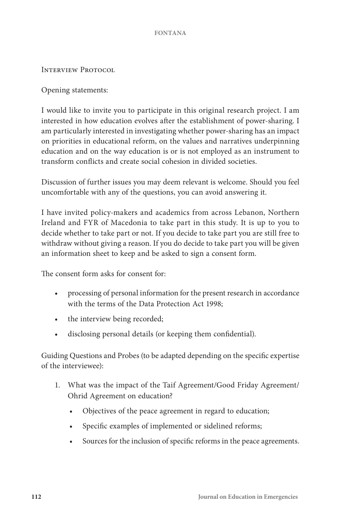INTERVIEW PROTOCOL

Opening statements:

I would like to invite you to participate in this original research project. I am interested in how education evolves after the establishment of power-sharing. I am particularly interested in investigating whether power-sharing has an impact on priorities in educational reform, on the values and narratives underpinning education and on the way education is or is not employed as an instrument to transform conflicts and create social cohesion in divided societies.

Discussion of further issues you may deem relevant is welcome. Should you feel uncomfortable with any of the questions, you can avoid answering it.

I have invited policy-makers and academics from across Lebanon, Northern Ireland and FYR of Macedonia to take part in this study. It is up to you to decide whether to take part or not. If you decide to take part you are still free to withdraw without giving a reason. If you do decide to take part you will be given an information sheet to keep and be asked to sign a consent form.

The consent form asks for consent for:

- processing of personal information for the present research in accordance with the terms of the Data Protection Act 1998;
- the interview being recorded;
- disclosing personal details (or keeping them confidential).

Guiding Questions and Probes (to be adapted depending on the specific expertise of the interviewee):

- 1. What was the impact of the Taif Agreement/Good Friday Agreement/ Ohrid Agreement on education?
	- Objectives of the peace agreement in regard to education;
	- Specific examples of implemented or sidelined reforms;
	- Sources for the inclusion of specific reforms in the peace agreements.